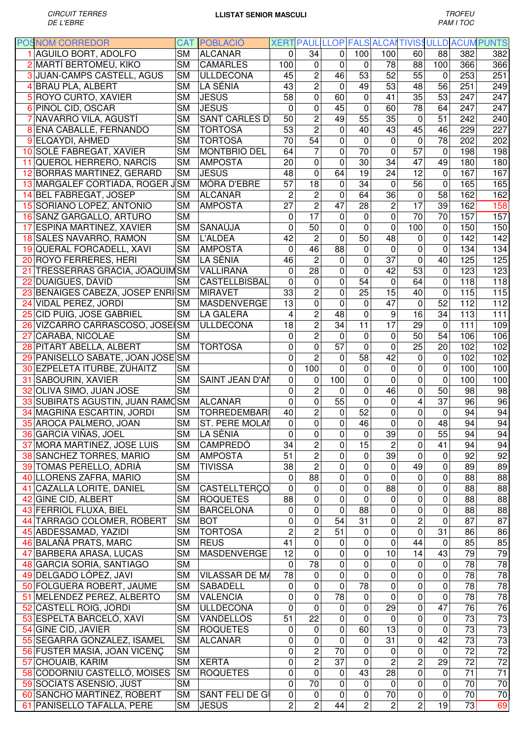| <b>POSNOM CORREDOR</b>            |                        | <b>CAT POBLACIO</b>   |                 |                  |                         |                 |                 |                 |                 |                 | XERT PAUL LLOP FALS ALCAI TIVISSULLD ACUM PUNTS |
|-----------------------------------|------------------------|-----------------------|-----------------|------------------|-------------------------|-----------------|-----------------|-----------------|-----------------|-----------------|-------------------------------------------------|
| 1 AGUILO BORT, ADOLFO             | <b>SM</b>              | <b>ALCANAR</b>        | $\Omega$        | 34               | $\Omega$                | 100             | 100             | 60              | 88              | 382             | 382                                             |
| 2 MARTÍ BERTOMEU, KIKO            | <b>SM</b>              | <b>CAMARLES</b>       | 100             | 0                | 0                       | 0               | 78              | 88              | 100             | 366             | 366                                             |
| 3 JUAN-CAMPS CASTELL, AGUS        | <b>SM</b>              | ULLDECONA             | 45              | $\overline{c}$   | 46                      | 53              | 52              | 55              | 0               | 253             | 251                                             |
| 4 BRAU PLA, ALBERT                | <b>SM</b>              | LA SÉNIA              | 43              | $\overline{2}$   | $\mathbf 0$             | 49              | 53              | 48              | 56              | 251             | 249                                             |
| 5 ROYO CURTO, XAVIER              | <b>SM</b>              | ∣JESÚS                | 58              | 0                | 60                      | $\mathbf 0$     | 41              | 35              | 53              | 247             | 247                                             |
| 6 PIÑOL CID, OSCAR                | <b>SM</b>              | <b>JESUS</b>          | $\overline{0}$  | $\mathbf 0$      | 45                      | 0               | 60              | 78              | 64              | 247             | 247                                             |
| 7 NAVARRO VILA, AGUSTÍ            | <b>SM</b>              | <b>SANT CARLES D</b>  | 50              | $\overline{c}$   | 49                      | 55              | 35              | $\mathbf 0$     | 51              | 242             | 240                                             |
| 8 ENA CABALLÉ, FERNANDO           | SΜ                     | <b>TORTOSA</b>        | 53              | $\overline{2}$   | 0                       | 40              | 43              | 45              | 46              | 229             | 227                                             |
| 9 ELQAYDI, AHMED                  | <b>SM</b>              | <b>TORTOSA</b>        | 70              | $\overline{54}$  | $\mathbf 0$             | 0               | $\mathbf 0$     | $\overline{0}$  | $\overline{78}$ | 202             | 202                                             |
| 10 SOLÉ FABREGAT, XAVIER          | <b>SM</b>              | <b>MONTBRIÓ DEL</b>   | 64              | $\overline{7}$   | 0                       | 70              | $\mathbf 0$     | $\overline{57}$ | $\Omega$        | 198             | 198                                             |
| 11 QUEROL HERRERO, NARCÍS         | SМ                     | <b>AMPOSTA</b>        | 20              | 0                | 0                       | 30              | 34              | 47              | 49              | 180             | 180                                             |
| 12 BORRAS MARTINEZ, GERARD        | <b>SM</b>              | ∣JESÚS                | 48              | 0                | 64                      | 19              | 24              | 12              | $\Omega$        | 167             | 167                                             |
|                                   | <b>SM</b>              | <b>MÓRA D'EBRE</b>    | $\overline{57}$ | $\overline{18}$  | 0                       | 34              | $\Omega$        | $\overline{56}$ | 0               | 165             | 165                                             |
| 13 MARGALEF CORTIADA, ROGER J     |                        |                       | $\overline{2}$  |                  |                         |                 |                 |                 |                 |                 |                                                 |
| 14 BEL FABREGAT, JOSEP            | <b>SM</b>              | <b>ALCANAR</b>        |                 | $\overline{2}$   | 0                       | 64              | 36              | $\mathbf 0$     | 58              | 162             | 162                                             |
| 15 SORIANO LOPEZ, ANTONIO         | <b>SM</b>              | <b>AMPOSTA</b>        | $\overline{27}$ | $\overline{2}$   | $\overline{47}$         | 28              | $\overline{2}$  | $\overline{17}$ | 39              | 162             | 158                                             |
| 16 SANZ GARGALLO, ARTURO          | <b>SM</b>              |                       | 0               | 17               | 0                       | 0               | $\mathbf 0$     | 70              | 70              | 157             | 157                                             |
| 17 ESPIÑA MARTINEZ, XAVIER        | <b>SM</b>              | SANAÜJA               | $\mathbf 0$     | 50               | 0                       | $\mathbf 0$     | $\overline{0}$  | 100             | 0               | 150             | 150                                             |
| 18 SALES NAVARRO, RAMON           | <b>SM</b>              | L'ALDEA               | 42              | $\overline{c}$   | 0                       | $\overline{50}$ | 48              | 0               | 0               | 142             | 142                                             |
| 19 QUERAL FORCADELL, XAVI         | <b>SM</b>              | <b>AMPOSTA</b>        | $\mathbf 0$     | 46               | $\overline{88}$         | 0               | 0               | 0               | 0               | 134             | 134                                             |
| 20 ROYO FERRERES, HERI            | <b>SM</b>              | LA SÉNIA              | 46              | $\overline{2}$   | 0                       | 0               | $\overline{37}$ | $\mathbf 0$     | 40              | 125             | 125                                             |
| 21 TRESSERRAS GRACIA, JOAQUIMSM   |                        | VALLIRANA             | $\mathbf 0$     | 28               | 0                       | 0               | 42              | 53              | 0               | 123             | 123                                             |
| 22 DUAIGUES, DAVID                | <b>SM</b>              | CASTELLBISBAL         | $\mathbf 0$     | $\mathbf 0$      | 0                       | 54              | 0               | 64              | $\Omega$        | 118             | 118                                             |
| 23 BENAIGES CABEZA, JOSEP ENRISM  |                        | <b>MIRAVET</b>        | 33              | $\overline{c}$   | 0                       | $\overline{25}$ | $\overline{15}$ | 40              | 0               | 115             | 115                                             |
| 24 VIDAL PEREZ, JORDI             | SΜ                     | <b>MASDENVERGE</b>    | $\overline{13}$ | $\mathbf 0$      | 0                       | 0               | $\overline{47}$ | $\mathbf 0$     | $\overline{52}$ | 112             | 112                                             |
| 25 CID PUIG, JOSE GABRIEL         | <b>SM</b>              | <b>LA GALERA</b>      | 4               | $\overline{c}$   | 48                      | $\mathbf 0$     | 9               | 16              | 34              | 113             | 111                                             |
| 26 VIZCARRO CARRASCOSO, JOSEISM   |                        | <b>ULLDECONA</b>      | 18              | $\overline{2}$   | $\overline{34}$         | $\overline{11}$ | $\overline{17}$ | 29              | 0               | 111             | 109                                             |
| 27 CARABA, NICOLAE                | <b>SM</b>              |                       | $\Omega$        | $\overline{c}$   | $\Omega$                | 0               | 0               | 50              | 54              | 106             | 106                                             |
| 28 PITART ABELLA, ALBERT          | <b>SM</b>              | <b>TORTOSA</b>        | 0               | 0                | $\overline{57}$         | $\mathbf 0$     | 0               | $\overline{25}$ | 20              | 102             | 102                                             |
| 29 PANISELLO SABATE, JOAN JOSE SM |                        |                       | 0               | $\overline{2}$   | 0                       | 58              | 42              | 0               | 0               | 102             | 102                                             |
| 30 EZPELETA ITURBE, ZUHAITZ       | SΜ                     |                       | $\Omega$        | 100              | 0                       | $\mathbf 0$     | 0               | 0               | 0               | 100             | 100                                             |
| 31 SABOURIN, XAVIER               | <b>SM</b>              | SAINT JEAN D'AN       | $\mathbf 0$     | 0                | 100                     | 0               | 0               | 0               | 0               | 100             | 100                                             |
| 32 OLIVA SIMO, JUAN JOSE          | <b>SM</b>              |                       | $\mathbf 0$     | $\overline{c}$   | 0                       | 0               | 46              | 0               | 50              | 98              | 98                                              |
| 33 SUBIRATS AGUSTIN, JUAN RAMOSM  |                        | <b>ALCANAR</b>        | $\mathbf 0$     | 0                | 55                      | 0               | 0               | 4               | 37              | 96              | 96                                              |
|                                   |                        |                       |                 |                  |                         | 52              |                 |                 |                 |                 |                                                 |
| 34 MAGRIÑA ESCARTIN, JORDI        | <b>SM</b>              | <b>TORREDEMBARI</b>   | 40              | $\overline{c}$   | 0                       |                 | $\Omega$        | 0               | 0               | 94              | 94                                              |
| 35 AROCA PALMERO, JOAN            | <b>SM</b>              | ST. PERE MOLAN        | 0               | $\pmb{0}$        | $\pmb{0}$               | 46              | 0               | 0               | 48              | 94              | 94                                              |
| 36 GARCIA VIÑAS, JOEL             | $\overline{\text{SM}}$ | LA SÉNIA              | $\overline{0}$  | $\overline{0}$   | $\overline{\mathsf{o}}$ | $\overline{0}$  | 39              | $\overline{0}$  | 55              | 94              | 94                                              |
| 37 MORA MARTINEZ, JOSE LUIS       | <b>SM</b>              | <b>CAMPREDÓ</b>       | 34              | $\overline{c}$   | 0                       | 15              | $\overline{c}$  | $\mathbf 0$     | 41              | 94              | 94                                              |
| 38 SANCHEZ TORRES, MARIO          | <b>SM</b>              | <b>AMPOSTA</b>        | 51              | $\overline{c}$   | 0                       | $\mathbf 0$     | 39              | $\mathbf 0$     | $\mathbf 0$     | 92              | 92                                              |
| 39 TOMAS PERELLO, ADRIÀ           | <b>SM</b>              | <b>TIVISSA</b>        | 38              | $\overline{c}$   | 0                       | 0               | $\mathbf 0$     | 49              | $\mathbf 0$     | 89              | 89                                              |
| 40 LLORENS ZAFRA, MARIO           | <b>SM</b>              |                       | $\mathbf 0$     | $\overline{88}$  | 0                       | 0               | $\mathbf 0$     | $\pmb{0}$       | 0               | 88              | 88                                              |
| 41 CAZALLA LORITE, DANIEL         | <b>SM</b>              | CASTELLTERÇO          | 0               | 0                | 0                       | 0               | 88              | 0               | 0               | 88              | 88                                              |
| 42 GINE CID, ALBERT               | <b>SM</b>              | <b>ROQUETES</b>       | 88              | 0                | $\mathsf 0$             | 0               | $\mathbf 0$     | 0               | 0               | 88              | 88                                              |
| 43 FERRIOL FLUXA, BIEL            | <b>SM</b>              | <b>BARCELONA</b>      | 0               | 0                | 0                       | 88              | 0               | 0               | 0               | 88              | 88                                              |
| 44 TARRAGO COLOMER, ROBERT        | <b>SM</b>              | <b>BOT</b>            | $\mathbf 0$     | $\boldsymbol{0}$ | 54                      | 31              | 0               | $\overline{2}$  | 0               | 87              | 87                                              |
| 45 ABDESSAMAD, YAZIDI             | <b>SM</b>              | <b>TORTOSA</b>        | $\overline{c}$  | 2                | 51                      | 0               | 0               | 0               | 31              | 86              | 86                                              |
| 46 BALAÑÁ PRATS, MARC             | <b>SM</b>              | <b>REUS</b>           | 41              | 0                | 0                       | 0               | 0               | 44              | 0               | 85              | 85                                              |
| 47 BARBERA ARASA, LUCAS           | SΜ                     | <b>MASDENVERGE</b>    | 12              | 0                | 0                       | 0               | 10              | 14              | 43              | 79              | 79                                              |
| 48 GARCIA SORIA, SANTIAGO         | <b>SM</b>              |                       | 0               | $\overline{78}$  | 0                       | 0               | 0               | 0               | $\mathbf 0$     | 78              | 78                                              |
| 49 DELGADO LÓPEZ, JAVI            | <b>SM</b>              | <b>VILASSAR DE MA</b> | 78              | 0                | 0                       | 0               | 0               | 0               | 0               | 78              | 78                                              |
| 50 FOLGUERA ROBERT, JAUME         | <b>SM</b>              | <b>SABADELL</b>       | 0               | 0                | 0                       | $\overline{78}$ | 0               | 0               | 0               | 78              | 78                                              |
| 51 MELENDEZ PEREZ, ALBERTO        | <b>SM</b>              | <b>VALENCIA</b>       | 0               | 0                | 78                      | 0               | $\mathbf 0$     | 0               | 0               | 78              | 78                                              |
| 52 CASTELL ROIG, JORDI            | <b>SM</b>              | <b>ULLDECONA</b>      | $\mathbf 0$     | 0                | 0                       | 0               | $\overline{29}$ | 0               | 47              | 76              | 76                                              |
| 53 ESPELTA BARCELÓ, XAVI          | <b>SM</b>              | VANDELLÓS             | 51              | 22               | 0                       | 0               | 0               | $\pmb{0}$       | 0               | 73              | 73                                              |
| 54 GINE CID, JAVIER               | <b>SM</b>              | <b>ROQUETES</b>       | 0               | $\mathbf 0$      | 0                       | 60              | $\overline{13}$ | 0               | 0               | $\overline{73}$ | 73                                              |
| 55 SEGARRA GONZALEZ, ISAMEL       | <b>SM</b>              | <b>ALCANAR</b>        | $\mathbf 0$     | 0                | $\mathbf 0$             | $\mathbf 0$     | $\overline{31}$ | $\mathbf 0$     | 42              | 73              | 73                                              |
| 56 FUSTER MASIA, JOAN VICENC      | <b>SM</b>              |                       | $\mathbf 0$     | $\overline{2}$   | $\overline{70}$         | 0               | $\mathbf 0$     | 0               | $\mathbf 0$     | $\overline{72}$ | $\overline{72}$                                 |
| 57 CHOUAIB, KARIM                 | <b>SM</b>              | <b>XERTA</b>          | $\mathbf 0$     | $\overline{2}$   | $\overline{37}$         | 0               | $\overline{c}$  | 2               | 29              | $\overline{72}$ | 72                                              |
| 58 CODORNIU CASTELLÓ, MOISES      | <b>SM</b>              | <b>ROQUETES</b>       | $\mathbf 0$     | $\mathbf 0$      | 0                       | 43              | $\overline{28}$ | 0               | 0               | $\overline{71}$ | 71                                              |
|                                   | <b>SM</b>              |                       | $\mathbf 0$     | 70               | 0                       | 0               | 0               | 0               | 0               | 70              | 70                                              |
| 59 SOCIATS ASENSIO, JUST          |                        |                       | $\pmb{0}$       | $\mathbf 0$      | 0                       | 0               | 70              |                 | 0               | 70              |                                                 |
| 60 SANCHO MARTINEZ, ROBERT        | <b>SM</b>              | SANT FELI DE GI       |                 |                  |                         |                 |                 | 0               |                 |                 | 70                                              |
| 61 PANISELLO TAFALLA, PERE        | <b>SM</b>              | <b>JESÚS</b>          | $\overline{c}$  | $\overline{c}$   | 44                      | $\overline{c}$  | $\overline{c}$  | 2               | 19              | 73              | 69                                              |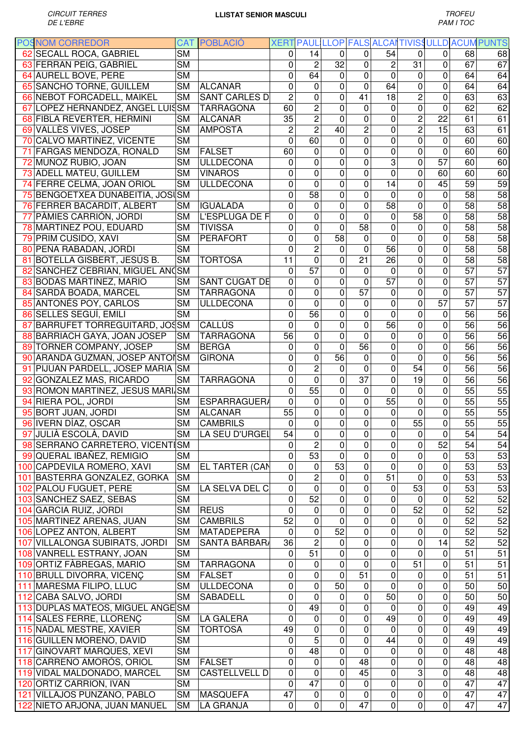| <b>POSNOM CORREDOR</b>            |           | <b>CAT POBLACIÓ</b>   |                |                         |                         |                 |                 |                         |                         |                 | XERT PAUL LLOP FALS ALCAI TIVISSULLD ACUM PUNTS |
|-----------------------------------|-----------|-----------------------|----------------|-------------------------|-------------------------|-----------------|-----------------|-------------------------|-------------------------|-----------------|-------------------------------------------------|
| 62 SECALL ROCA, GABRIEL           | <b>SM</b> |                       | $\Omega$       | 14                      | $\Omega$                | 0               | 54              | $\Omega$                | 0                       | 68              | 68                                              |
| 63 FERRAN PEIG, GABRIEL           | <b>SM</b> |                       | 0              | $\overline{c}$          | 32                      | 0               | $\overline{c}$  | 31                      | 0                       | 67              | 67                                              |
| 64 AURELL BOVE, PERE              | <b>SM</b> |                       | $\mathbf 0$    | 64                      | 0                       | 0               | $\mathbf 0$     | $\pmb{0}$               | 0                       | 64              | 64                                              |
| 65 SANCHO TORNE, GUILLEM          | <b>SM</b> | <b>ALCANAR</b>        | $\mathbf 0$    | 0                       | 0                       | 0               | 64              | 0                       | 0                       | 64              | 64                                              |
| 66 NEBOT FORCADELL, MAIKEL        | <b>SM</b> | <b>SANT CARLES D</b>  | $\overline{c}$ | 0                       | 0                       | 41              | 18              | $\overline{c}$          | 0                       | 63              | 63                                              |
| 67 LOPEZ HERNANDEZ, ANGEL LUISSM  |           | <b>TARRAGONA</b>      | 60             | $\overline{c}$          | 0                       | 0               | 0               | 0                       | 0                       | 62              | 62                                              |
| 68 FIBLA REVERTER, HERMINI        | SΜ        | <b>ALCANAR</b>        | 35             | $\overline{2}$          | $\overline{0}$          | $\mathbf 0$     | $\mathbf 0$     | $\overline{2}$          | 22                      | 61              | 61                                              |
| 69 VALLÈS VIVES, JOSEP            | <b>SM</b> | <b>AMPOSTA</b>        | $\overline{c}$ | $\overline{2}$          | $\overline{40}$         | $\overline{c}$  | $\mathbf 0$     | $\overline{2}$          | 15                      | 63              | 61                                              |
| 70 CALVO MARTINEZ, VICENTE        | <b>SM</b> |                       | $\overline{0}$ | 60                      | $\overline{0}$          | $\overline{0}$  | $\overline{0}$  | 0                       | 0                       | 60              | 60                                              |
| 71 FARGAS MENDOZA, RONALD         | <b>SM</b> | FALSET                | 60             | 0                       | 0                       | 0               | $\mathbf 0$     | $\overline{0}$          | $\overline{0}$          | 60              | 60                                              |
| 72 MUÑOZ RUBIO, JOAN              | <b>SM</b> | <b>ULLDECONA</b>      | $\Omega$       | $\mathbf 0$             | 0                       | $\overline{0}$  | 3               | 0                       | $\overline{57}$         | 60              | 60                                              |
| 73 ADELL MATEU, GUILLEM           | <b>SM</b> | <b>VINAROS</b>        | $\mathbf 0$    | 0                       | 0                       | $\mathbf 0$     | $\mathbf{0}$    | 0                       | 60                      | 60              | 60                                              |
| 74 FERRE CELMA, JOAN ORIOL        | <b>SM</b> | <b>ULLDECONA</b>      | $\mathbf 0$    | 0                       | 0                       | 0               | 14              | $\overline{0}$          | 45                      | 59              | 59                                              |
| 75 BENGOETXEA DUNABEITIA, JOSUSM  |           |                       | $\overline{0}$ | 58                      | 0                       | $\mathbf 0$     | $\Omega$        | 0                       | 0                       | 58              | $\overline{58}$                                 |
| 76 FERRER BACARDIT, ALBERT        | SМ        | <b>IGUALADA</b>       | $\mathbf 0$    | 0                       | 0                       | $\overline{0}$  | 58              | 0                       | 0                       | 58              | 58                                              |
| 77 PÀMIES CARRIÓN, JORDI          | <b>SM</b> | L'ESPLUGA DE F        | 0              | 0                       | 0                       | 0               | 0               | 58                      | 0                       | 58              | 58                                              |
| 78 MARTINEZ POU, EDUARD           | <b>SM</b> | <b>TIVISSA</b>        | 0              | 0                       | $\mathbf 0$             | $\overline{58}$ | 0               | 0                       | $\overline{0}$          | 58              | 58                                              |
| 79 PRIM CUSIDO, XAVI              | <b>SM</b> | PERAFORT              | $\mathbf 0$    | 0                       | $\overline{58}$         | 0               | $\mathbf 0$     | 0                       | 0                       | 58              | $\overline{58}$                                 |
| 80 PEÑA RABADAN, JORDI            | <b>SM</b> |                       | $\Omega$       | $\overline{c}$          | 0                       | $\mathbf 0$     | $\overline{56}$ | 0                       | 0                       | 58              | $\overline{58}$                                 |
| 81 BOTELLA GISBERT, JESÚS B.      | <b>SM</b> | <b>TORTOSA</b>        | 11             | 0                       | 0                       | $\overline{21}$ | 26              | 0                       | 0                       | 58              | 58                                              |
| 82 SANCHEZ CEBRIAN, MIGUEL ANOSM  |           |                       | $\overline{0}$ | $\overline{57}$         | 0                       | 0               | 0               | 0                       | 0                       | $\overline{57}$ | $\overline{57}$                                 |
| 83 BODAS MARTINEZ, MARIO          | <b>SM</b> | SANT CUGAT DE         | $\mathbf 0$    | $\mathbf 0$             | 0                       | 0               | 57              | 0                       | 0                       | 57              | 57                                              |
| 84 SARDÀ BOADA, MARCEL            | <b>SM</b> | <b>TARRAGONA</b>      | $\mathbf 0$    | 0                       | 0                       | $\overline{57}$ | 0               | 0                       | 0                       | $\overline{57}$ | $\overline{57}$                                 |
| 85 ANTONÉS POY, CARLOS            | <b>SM</b> | <b>ULLDECONA</b>      | $\mathbf 0$    | $\mathbf 0$             | 0                       | 0               | $\mathbf 0$     | 0                       | 57                      | $\overline{57}$ | $\overline{57}$                                 |
| 86 SELLES SEGUÍ, EMILI            | <b>SM</b> |                       | $\mathbf 0$    | 56                      | 0                       | 0               | $\mathbf 0$     | 0                       | 0                       | 56              | 56                                              |
|                                   |           |                       |                |                         | 0                       | $\overline{0}$  | 56              | 0                       | $\overline{0}$          | 56              | 56                                              |
| 87 BARRUFET TORREGUITARD, JOSSM   |           | CALLÚS                | $\mathbf{0}$   | 0                       |                         |                 |                 |                         |                         |                 |                                                 |
| 88 BARRIACH GAYA, JOAN JOSEP      | <b>SM</b> | <b>TARRAGONA</b>      | 56             | 0                       | 0                       | $\overline{0}$  | 0               | 0                       | 0                       | 56              | 56                                              |
| 89 TORNER COMPANY, JOSEP          | <b>SM</b> | <b>BERGA</b>          | $\Omega$       | 0                       | 0                       | 56              | 0               | 0                       | 0                       | 56              | 56                                              |
| 90 ARANDA GUZMAN, JOSEP ANTOISM   |           | <b>GIRONA</b>         | 0              | 0                       | 56                      | 0               | 0               | $\mathbf 0$             | 0                       | 56              | 56                                              |
| 91 PIJUAN PARDELL, JOSEP MARIA    | <b>SM</b> |                       | 0              | $\overline{2}$          | 0                       | $\mathbf 0$     | $\mathbf 0$     | 54                      | 0                       | 56              | 56                                              |
| 92 GONZALEZ MAS, RICARDO          | <b>SM</b> | <b>TARRAGONA</b>      | $\mathbf 0$    | 0                       | 0                       | 37              | 0               | 19                      | 0                       | 56              | 56                                              |
| 93 ROMON MARTINEZ, JESUS MARI SM  |           |                       | $\mathbf 0$    | 55                      | 0                       | 0               | 0               | 0                       | 0                       | 55              | 55                                              |
| 94 RIERA POL, JORDI               | <b>SM</b> | ESPARRAGUERA          | $\mathbf 0$    | 0                       | 0                       | 0               | 55              | 0                       | 0                       | 55              | 55                                              |
| 95 BORT JUAN, JORDI               | <b>SM</b> | <b>ALCANAR</b>        | 55             | 0                       | 0                       | 0               | 0               | $\overline{0}$          | 0                       | 55              | 55                                              |
| 96 IVERN DÍAZ, OSCAR              | <b>SM</b> | <b>CAMBRILS</b>       | 0              | 0                       | 0                       | 0               | 0               | 55                      | $\pmb{0}$               | 55              | 55                                              |
| 97 JULIÀ ESCOLÀ, DAVID            | SM        | LA SEU D'URGEL        | 54             | $\overline{\mathbf{o}}$ | $\overline{\mathsf{o}}$ | $\overline{0}$  | $\pmb{0}$       | $\overline{\mathbf{o}}$ | $\overline{\mathbf{o}}$ | $\overline{54}$ | 54                                              |
| 98 SERRANO CARRETERO, VICENTISM   |           |                       | $\Omega$       | $\overline{c}$          | $\mathbf 0$             | 0               | $\mathbf 0$     | $\mathbf 0$             | 52                      | 54              | 54                                              |
| 99 QUERAL IBAÑEZ, REMIGIO         | <b>SM</b> |                       | 0              | 53                      | 0                       | 0               | 0               | 0                       | $\mathbf 0$             | 53              | 53                                              |
| 100 CAPDEVILA ROMERO, XAVI        | <b>SM</b> | <b>EL TARTER (CAN</b> | $\mathbf 0$    | $\pmb{0}$               | 53                      | 0               | $\mathbf 0$     | 0                       | $\mathbf 0$             | 53              | 53                                              |
| 101 BASTERRA GONZALEZ, GORKA      | <b>SM</b> |                       | $\mathbf 0$    | 2                       | 0                       | 0               | 51              | 0                       | 0                       | 53              | 53                                              |
| 102 PALOU FUGUET, PERE            | <b>SM</b> | LA SELVA DEL C        | 0              | $\mathbf 0$             | 0                       | 0               | 0               | 53                      | 0                       | 53              | 53                                              |
| 103 SANCHEZ SAEZ, SEBAS           | <b>SM</b> |                       | $\mathbf 0$    | 52                      | 0                       | 0               | $\mathbf 0$     | $\mathbf 0$             | 0                       | 52              | 52                                              |
| 104 GARCIA RUIZ, JORDI            | <b>SM</b> | <b>REUS</b>           | 0              | $\pmb{0}$               | 0                       | 0               | $\mathbf 0$     | 52                      | 0                       | 52              | 52                                              |
| 105 MARTINEZ ARENAS, JUAN         | <b>SM</b> | <b>CAMBRILS</b>       | 52             | 0                       | 0                       | 0               | 0               | 0                       | 0                       | 52              | 52                                              |
| 106 LOPEZ ANTON, ALBERT           | <b>SM</b> | <b>MATADEPERA</b>     | 0              | 0                       | 52                      | 0               | 0               | $\pmb{0}$               | 0                       | 52              | 52                                              |
| 107 VILLALONGA SUBIRATS, JORDI    | <b>SM</b> | SANTA BÀRBARA         | 36             | $\overline{c}$          | 0                       | 0               | 0               | 0                       | 14                      | 52              | 52                                              |
| 108 VANRELL ESTRANY, JOAN         | <b>SM</b> |                       | $\pmb{0}$      | 51                      | 0                       | 0               | 0               | 0                       | 0                       | 51              | 51                                              |
| 109 ORTIZ FABREGAS, MARIO         | <b>SM</b> | <b>TARRAGONA</b>      | 0              | $\mathbf 0$             | 0                       | 0               | $\mathbf 0$     | 51                      | 0                       | 51              | 51                                              |
| 110 BRULL DIVORRA, VICENÇ         | <b>SM</b> | FALSET                | $\pmb{0}$      | $\pmb{0}$               | 0                       | 51              | 0               | 0                       | 0                       | 51              | 51                                              |
| 111 MARESMA FILIPO, LLUC          | <b>SM</b> | <b>ULLDECONA</b>      | $\pmb{0}$      | 0                       | 50                      | 0               | 0               | 0                       | 0                       | 50              | 50                                              |
| 112 CABA SALVO, JORDI             | <b>SM</b> | <b>SABADELL</b>       | $\pmb{0}$      | 0                       | 0                       | 0               | 50              | 0                       | 0                       | 50              | 50                                              |
| 113 DUPLAS MATEOS, MIGUEL ANGE SM |           |                       | $\mathbf 0$    | 49                      | 0                       | 0               | 0               | 0                       | 0                       | 49              | 49                                              |
| 114 SALES FERRE, LLORENÇ          | <b>SM</b> | <b>LA GALERA</b>      | 0              | $\pmb{0}$               | 0                       | 0               | 49              | $\pmb{0}$               | 0                       | 49              | 49                                              |
| 115 NADAL MESTRE, XAVIER          | <b>SM</b> | <b>TORTOSA</b>        | 49             | 0                       | 0                       | 0               | $\Omega$        | 0                       | 0                       | 49              | 49                                              |
| 116 GUILLEN MORENO, DAVID         | <b>SM</b> |                       | $\mathbf 0$    | $\overline{5}$          | $\pmb{0}$               | 0               | 44              | 0                       | $\mathbf 0$             | 49              | 49                                              |
| 117 GINOVART MARQUES, XEVI        | <b>SM</b> |                       | $\mathbf 0$    | 48                      | 0                       | 0               | 0               | 0                       | 0                       | 48              | 48                                              |
| 118 CARREÑO AMORÓS, ORIOL         | <b>SM</b> | FALSET                | $\mathbf 0$    | $\mathbf 0$             | 0                       | 48              | $\mathbf 0$     | 0                       | 0                       | 48              | 48                                              |
| 119 VIDAL MALDONADO, MARCEL       | <b>SM</b> | <b>CASTELLVELL D</b>  | $\mathbf 0$    | 0                       | 0                       | 45              | $\mathbf 0$     | 3                       | 0                       | 48              | 48                                              |
| 120 ORTIZ CARRION, IVAN           | <b>SM</b> |                       | 0              | 47                      | 0                       | 0               | $\mathbf 0$     | 0                       | 0                       | 47              | 47                                              |
| 121 VILLAJOS PUNZANO, PABLO       | <b>SM</b> | MASQUEFA              | 47             | $\pmb{0}$               | 0                       | 0               | 0               | 0                       | 0                       | 47              | 47                                              |
| 122 NIETO ARJONA, JUAN MANUEL     | <b>SM</b> | LA GRANJA             | $\mathbf 0$    | $\pmb{0}$               | 0                       | 47              | 0               | 0                       | 0                       | 47              | 47                                              |
|                                   |           |                       |                |                         |                         |                 |                 |                         |                         |                 |                                                 |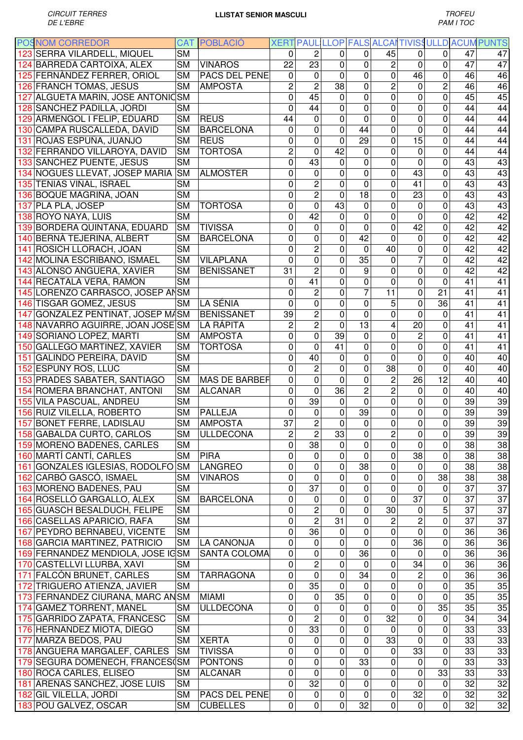|     | <b>POSNOM CORREDOR</b>            | <b>CAT</b>             | POBLACIÓ             |                 |                         |                 |                 |                |                 |                 |    | XERT PAUL LLOP FALS ALCAITIVISSULLD ACUM PUNTS |
|-----|-----------------------------------|------------------------|----------------------|-----------------|-------------------------|-----------------|-----------------|----------------|-----------------|-----------------|----|------------------------------------------------|
|     | 123 SERRA VILARDELL, MIQUEL       | $\overline{\text{SM}}$ |                      | $\mathbf{0}$    | $\overline{c}$          | $\Omega$        | 0               | 45             | 0               | 0               | 47 | 47                                             |
|     | 124 BARREDA CARTOIXA, ALEX        | <b>SM</b>              | <b>VINAROS</b>       | 22              | 23                      | $\mathbf 0$     | 0               | $\overline{c}$ | $\mathbf 0$     | 0               | 47 | 47                                             |
|     | 125 FERNANDEZ FERRER, ORIOL       | <b>SM</b>              | PACS DEL PENE        | 0               | 0                       | $\mathbf 0$     | 0               | 0              | 46              | 0               | 46 | 46                                             |
|     | 126 FRANCH TOMAS, JESUS           | <b>SM</b>              | <b>AMPOSTA</b>       | $\overline{2}$  | $\overline{2}$          | 38              | 0               | $\overline{c}$ | $\mathbf 0$     | $\overline{c}$  | 46 | 46                                             |
|     | 127 ALGUETA MARIN, JOSE ANTONICSM |                        |                      | $\mathbf 0$     | 45                      | 0               | 0               | $\mathbf 0$    | $\mathbf 0$     | 0               | 45 | 45                                             |
|     | 128 SANCHEZ PADILLA, JORDI        | <b>SM</b>              |                      | $\mathbf 0$     | 44                      | 0               | 0               | 0              | 0               | 0               | 44 | 44                                             |
|     |                                   |                        | <b>REUS</b>          | 44              | 0                       | $\mathbf 0$     | 0               | 0              | $\mathbf 0$     | 0               | 44 | 44                                             |
|     | 129 ARMENGOL I FELIP, EDUARD      | <b>SM</b>              |                      |                 |                         |                 |                 |                |                 |                 |    |                                                |
|     | 130 CAMPA RUSCALLEDA, DAVID       | <b>SM</b>              | <b>BARCELONA</b>     | 0               | 0                       | $\mathbf 0$     | 44              | 0              | $\mathbf 0$     | 0               | 44 | 44                                             |
| 131 | ROJAS ESPUÑA, JUANJO              | <b>SM</b>              | <b>REUS</b>          | $\mathbf 0$     | 0                       | 0               | 29              | 0              | 15              | 0               | 44 | 44                                             |
|     | 132 FERRANDO VILLAROYA, DAVID     | <b>SM</b>              | <b>TORTOSA</b>       | $\overline{c}$  | 0                       | 42              | 0               | 0              | $\mathbf 0$     | 0               | 44 | 44                                             |
|     | 133 SANCHEZ PUENTE, JESUS         | <b>SM</b>              |                      | $\mathbf 0$     | $\overline{43}$         | $\mathbf 0$     | 0               | 0              | 0               | 0               | 43 | 43                                             |
|     | 134 NOGUES LLEVAT, JOSEP MARIA    | <b>SM</b>              | <b>ALMOSTER</b>      | 0               | 0                       | $\mathbf 0$     | 0               | 0              | 43              | 0               | 43 | 43                                             |
|     | 135 TENIAS VIÑAL, ISRAEL          | <b>SM</b>              |                      | 0               | $\overline{2}$          | $\mathbf 0$     | 0               | 0              | 41              | 0               | 43 | 43                                             |
|     | 136 BOQUE MAGRIÑA, JOAN           | <b>SM</b>              |                      | $\mathbf 0$     | $\overline{c}$          | $\mathbf 0$     | 18              | 0              | 23              | 0               | 43 | 43                                             |
|     | 137 PLA PLA, JOSEP                | <b>SM</b>              | <b>TORTOSA</b>       | $\mathbf 0$     | 0                       | 43              | 0               | 0              | 0               | 0               | 43 | 43                                             |
|     | 138 ROYO NAYA, LUIS               | <b>SM</b>              |                      | $\mathbf 0$     | 42                      | 0               | 0               | 0              | 0               | 0               | 42 | 42                                             |
|     | 139 BORDERA QUINTANA, EDUARD      | <b>SM</b>              | <b>TIVISSA</b>       | $\mathbf 0$     | 0                       | 0               | 0               | 0              | 42              | 0               | 42 | $\overline{42}$                                |
|     | 140 BERNÀ TEJERINA, ALBERT        | <b>SM</b>              | <b>BARCELONA</b>     | $\mathbf 0$     | 0                       | $\mathbf 0$     | $\overline{42}$ | $\mathbf 0$    | $\mathbf 0$     | 0               | 42 | 42                                             |
|     | 141 ROSICH LLORACH, JOAN          | <b>SM</b>              |                      | $\mathbf 0$     | $\overline{c}$          | 0               | $\mathbf 0$     | 40             | 0               | 0               | 42 | 42                                             |
|     |                                   |                        |                      |                 |                         |                 |                 |                |                 |                 |    |                                                |
|     | 142 MOLINA ESCRIBANO, ISMAEL      | <b>SM</b>              | <b>VILAPLANA</b>     | $\mathbf 0$     | 0                       | $\mathbf 0$     | $\overline{35}$ | 0              | 7               | 0               | 42 | 42                                             |
|     | 143 ALONSO ANGUERA, XAVIER        | <b>SM</b>              | <b>BENISSANET</b>    | $\overline{31}$ | $\overline{2}$          | 0               | 9               | $\mathbf 0$    | $\mathbf 0$     | 0               | 42 | 42                                             |
|     | 144 RECATALA VERA, RAMON          | <b>SM</b>              |                      | 0               | 41                      | 0               | 0               | $\mathbf 0$    | $\mathbf 0$     | 0               | 41 | 41                                             |
|     | 145 LORENZO CARRASCO, JOSEP ANSM  |                        |                      | $\mathbf 0$     | $\overline{c}$          | 0               | $\overline{7}$  | 11             | $\mathbf 0$     | 21              | 41 | 41                                             |
|     | 146 TISGAR GOMEZ, JESUS           | <b>SM</b>              | LA SÉNIA             | $\mathbf 0$     | 0                       | $\mathbf 0$     | 0               | 5              | $\mathbf 0$     | $\overline{36}$ | 41 | 41                                             |
| 147 | GONZALEZ PENTINAT, JOSEP MASM     |                        | <b>BENISSANET</b>    | 39              | $\overline{c}$          | $\mathbf 0$     | 0               | $\mathbf 0$    | $\Omega$        | 0               | 41 | 41                                             |
|     | 148 NAVARRO AGUIRRE, JOAN JOSE SM |                        | LA RÁPITA            | $\overline{c}$  | $\overline{2}$          | $\mathbf 0$     | 13              | 4              | 20              | 0               | 41 | 41                                             |
|     | 149 SORIANO LOPEZ, MARTI          | <b>SM</b>              | <b>AMPOSTA</b>       | $\mathbf 0$     | 0                       | 39              | 0               | 0              | $\overline{c}$  | 0               | 41 | 41                                             |
| 150 | <b>GALLEGO MARTINEZ, XAVIER</b>   | <b>SM</b>              | <b>TORTOSA</b>       | $\mathbf 0$     | 0                       | 41              | 0               | 0              | 0               | 0               | 41 | 41                                             |
| 151 | <b>GALINDO PEREIRA, DAVID</b>     | <b>SM</b>              |                      | 0               | 40                      | 0               | 0               | 0              | 0               | 0               | 40 | 40                                             |
|     | 152 ESPUNY ROS, LLUC              | <b>SM</b>              |                      | 0               | $\overline{c}$          | 0               | 0               | 38             | $\mathbf{0}$    | 0               | 40 | 40                                             |
|     | 153 PRADES SABATER, SANTIAGO      | <b>SM</b>              | <b>MAS DE BARBER</b> | 0               | 0                       | $\mathbf 0$     | 0               | $\overline{c}$ | 26              | 12              | 40 | 40                                             |
|     |                                   |                        |                      |                 |                         |                 |                 |                |                 |                 |    |                                                |
|     | 154 ROMERA BRANCHAT, ANTONI       | <b>SM</b>              | <b>ALCANAR</b>       | $\mathbf 0$     | 0                       | 36              | $\overline{c}$  | $\overline{c}$ | 0               | 0               | 40 | 40                                             |
|     | 155 VILA PASCUAL, ANDREU          | <b>SM</b>              |                      | $\mathbf 0$     | 39                      | 0               | 0               | 0              | 0               | 0               | 39 | 39                                             |
|     | 156 RUIZ VILELLA, ROBERTO         | <b>SM</b>              | <b>PALLEJA</b>       | $\overline{0}$  | 0                       | $\mathbf 0$     | 39              | 0              | 0               | 0               | 39 | 39                                             |
|     | 157 BONET FERRE, LADISLAU         | <b>SM</b>              | <b>AMPOSTA</b>       | 37              | $\overline{c}$          | 0               | $\pmb{0}$       | 0              | $\mathbf 0$     | 0               | 39 | 39                                             |
|     | 158 GABALDA CURTO, CARLOS         | <b>SM</b>              | <b>ULLDECONA</b>     | $\overline{2}$  | $\overline{\mathbf{c}}$ | 33              | $\overline{0}$  | $\overline{2}$ | $\pmb{0}$       | 0               | 39 | 39                                             |
|     | 159 MORENO BADENES, CARLES        | <b>SM</b>              |                      | 0               | 38                      | 0               | $\mathbf 0$     | $\mathbf 0$    | $\mathbf 0$     | 0               | 38 | 38                                             |
|     | 160 MARTÍ CANTÍ, CARLES           | <b>SM</b>              | <b>PIRA</b>          | 0               | 0                       | 0               | $\mathbf 0$     | $\mathbf 0$    | 38              | 0               | 38 | 38                                             |
|     | 161 GONZALES IGLESIAS, RODOLFO SM |                        | <b>LANGREO</b>       | $\mathbf 0$     | $\mathbf 0$             | 0               | $\overline{38}$ | $\mathbf 0$    | $\mathbf 0$     | 0               | 38 | 38                                             |
|     | 162 CARBÓ GASCÓ, ISMAEL           | <b>SM</b>              | <b>VINAROS</b>       | $\mathbf 0$     | $\mathbf 0$             | 0               | $\mathbf 0$     | $\mathbf 0$    | $\mathbf 0$     | $\overline{38}$ | 38 | 38                                             |
|     | 163 MORENO BADENES, PAU           | <b>SM</b>              |                      | 0               | $\overline{37}$         | $\mathbf 0$     | 0               | $\pmb{0}$      | $\mathbf 0$     | 0               | 37 | 37                                             |
|     | 164 ROSELLÓ GARGALLO, ÀLEX        | <b>SM</b>              | <b>BARCELONA</b>     | $\mathbf 0$     | 0                       | $\mathbf 0$     | 0               | $\mathbf 0$    | $\overline{37}$ | 0               | 37 | 37                                             |
|     | 165 GUASCH BESALDUCH, FELIPE      | <b>SM</b>              |                      | 0               | $\overline{c}$          | $\mathbf 0$     | 0               | 30             | 0               | 5               | 37 | 37                                             |
|     | 166 CASELLAS APARICIO, RAFA       | <b>SM</b>              |                      | $\mathbf 0$     | $\overline{2}$          | 31              | 0               | $\overline{c}$ | $\overline{2}$  | 0               | 37 | 37                                             |
|     |                                   |                        |                      |                 |                         |                 |                 |                |                 |                 |    |                                                |
|     | 167 PEYDRO BERNABEU, VICENTE      | <b>SM</b>              |                      | 0               | 36                      | 0               | 0               | 0              | 0               | 0               | 36 | 36                                             |
|     | 168 GARCIA MARTINEZ, PATRICIO     | <b>SM</b>              | <b>LA CANONJA</b>    | 0               | 0                       | 0               | 0               | $\mathbf 0$    | $\overline{36}$ | 0               | 36 | 36                                             |
|     | 169 FERNANDEZ MENDIOLA, JOSE IGSM |                        | <b>SANTA COLOMA</b>  | 0               | 0                       | 0               | $\overline{36}$ | 0              | 0               | 0               | 36 | 36                                             |
|     | 170 CASTELLVI LLURBA, XAVI        | <b>SM</b>              |                      | 0               | $\overline{2}$          | 0               | 0               | 0              | 34              | 0               | 36 | 36                                             |
|     | 171 FALCÓN BRUNET, CARLES         | <b>SM</b>              | <b>TARRAGONA</b>     | 0               | 0                       | 0               | 34              | $\mathbf 0$    | 2               | 0               | 36 | 36                                             |
|     | 172 TRIGUERO ATIENZA, JAVIER      | <b>SM</b>              |                      | $\mathbf 0$     | 35                      | $\mathbf 0$     | 0               | $\mathbf 0$    | $\mathbf 0$     | 0               | 35 | 35                                             |
|     | 173 FERNANDEZ CIURANA, MARC ANSM  |                        | <b>MIAMI</b>         | 0               | 0                       | $\overline{35}$ | 0               | 0              | 0               | 0               | 35 | 35                                             |
|     | 174 GAMEZ TORRENT, MANEL          | <b>SM</b>              | <b>ULLDECONA</b>     | $\mathbf 0$     | 0                       | 0               | 0               | $\mathbf 0$    | $\mathbf 0$     | $\overline{35}$ | 35 | 35                                             |
|     | 175 GARRIDO ZAPATA, FRANCESC      | <b>SM</b>              |                      | 0               | $\overline{2}$          | 0               | $\mathbf 0$     | 32             | 0               | 0               | 34 | 34                                             |
|     | 176 HERNANDEZ MIOTA, DIEGO        | <b>SM</b>              |                      | 0               | 33                      | 0               | 0               | $\mathbf 0$    | $\mathbf 0$     | 0               | 33 | 33                                             |
|     | 177 MARZA BEDOS, PAU              | <b>SM</b>              | <b>XERTA</b>         | $\mathbf 0$     | $\mathbf 0$             | 0               | $\overline{0}$  | 33             | $\mathbf 0$     | 0               | 33 | 33                                             |
|     |                                   |                        |                      |                 |                         |                 |                 |                |                 |                 |    |                                                |
|     | 178 ANGUERA MARGALEF, CARLES      | <b>SM</b>              | <b>TIVISSA</b>       | 0               | 0                       | 0               | $\mathbf 0$     | 0              | 33              | 0               | 33 | 33                                             |
|     | 179 SEGURA DOMENECH, FRANCES(SM   |                        | <b>PONTONS</b>       | 0               | 0                       | $\mathsf 0$     | $\overline{33}$ | 0              | $\mathbf 0$     | 0               | 33 | 33                                             |
|     | 180 ROCA CARLES, ELISEO           | <b>SM</b>              | <b>ALCANAR</b>       | $\mathbf 0$     | $\mathbf 0$             | 0               | 0               | 0              | $\mathbf 0$     | 33              | 33 | 33                                             |
|     | 181 ARENAS SANCHEZ, JOSE LUIS     | <b>SM</b>              |                      | $\mathbf 0$     | 32                      | $\mathbf 0$     | 0               | $\mathbf 0$    | $\mathbf 0$     | 0               | 32 | 32                                             |
|     | 182 GIL VILELLA, JORDI            | <b>SM</b>              | <b>PACS DEL PENE</b> | 0               | 0                       | 0               | $\mathbf 0$     | 0              | 32              | 0               | 32 | 32                                             |
|     | 183 POU GALVEZ, OSCAR             | <b>SM</b>              | <b>CUBELLES</b>      | 0               | 0                       | 0               | $\overline{32}$ | 0              | 0               | 0               | 32 | 32                                             |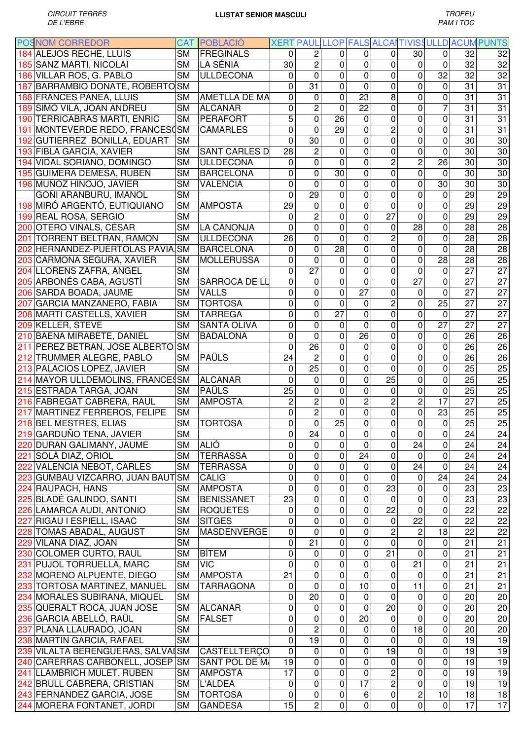| <b>POSNOM CORREDOR</b>           |                        | <b>CAT POBLACIÓ</b>  |                 |                 |                 |                 |                         |                         |                 |                 | XERT PAUL LLOP FALS ALCAITIVISS ULLD ACUM PUNTS |
|----------------------------------|------------------------|----------------------|-----------------|-----------------|-----------------|-----------------|-------------------------|-------------------------|-----------------|-----------------|-------------------------------------------------|
| 184 ALEJOS RECHE, LLUÍS          | <b>SM</b>              | FREGINALS            | $\Omega$        | 2               | 0               | 0               | $\Omega$                | 30                      | 0               | 32              | 32                                              |
| 185 SANZ MARTI, NICOLAI          | <b>SM</b>              | LA SÉNIA             | 30              | $\overline{c}$  | 0               | 0               | 0                       | 0                       | $\mathbf 0$     | 32              | 32                                              |
| 186 VILLAR ROS, G. PABLO         | <b>SM</b>              | <b>ULLDECONA</b>     | 0               | $\mathbf 0$     | 0               | 0               | 0                       | $\mathbf 0$             | 32              | 32              | 32                                              |
| 187 BARRAMBIO DONATE, ROBERTO SM |                        |                      | $\Omega$        | 31              | 0               | $\Omega$        | $\mathbf 0$             | $\mathbf 0$             | $\mathbf 0$     | 31              | 31                                              |
| 188 FRANCES PANEA, LLUÍS         | <b>SM</b>              | <b>AMETLLA DE MA</b> | 0               | 0               | 0               | 23              | 8                       | $\mathbf 0$             | 0               | 31              | 31                                              |
| 189 SIMO VILA, JOAN ANDREU       | <b>SM</b>              | <b>ALCANAR</b>       | 0               | $\overline{2}$  | 0               | $\overline{22}$ | $\mathbf 0$             | $\mathbf 0$             | $\overline{7}$  | 31              | 31                                              |
| 190 TERRICABRAS MARTI, ENRIC     | <b>SM</b>              | <b>PERAFORT</b>      | 5               | $\overline{0}$  | 26              | $\overline{0}$  | $\mathbf 0$             | $\mathbf 0$             | 0               | 31              | 31                                              |
| 191 MONTEVERDE REDO, FRANCESOSM  |                        | <b>CAMARLES</b>      | 0               | $\mathbf 0$     | 29              | 0               | $\overline{c}$          | $\mathbf 0$             | 0               | 31              | 31                                              |
| 192 GUTIERREZ BONILLA, EDUART    | <b>SM</b>              |                      | $\Omega$        | 30              | 0               | 0               | $\overline{0}$          | $\mathbf 0$             | 0               | 30              | 30                                              |
| 193 FIBLA GARCIA, XAVIER         | <b>SM</b>              | SANT CARLES D        | 28              | $\overline{2}$  | 0               | 0               | $\overline{0}$          | $\mathbf 0$             | $\mathbf 0$     | 30              | 30                                              |
| 194 VIDAL SORIANO, DOMINGO       | <b>SM</b>              | <b>ULLDECONA</b>     | 0               | 0               | 0               | 0               | $\overline{c}$          | $\overline{c}$          | 26              | 30              | 30                                              |
| 195 GUIMERA DEMESA, RUBEN        | <b>SM</b>              | <b>BARCELONA</b>     | 0               | 0               | 30              | 0               | 0                       | $\mathbf 0$             | $\Omega$        | 30              | 30                                              |
| 196 MUÑOZ HINOJO, JAVIER         | <b>SM</b>              | <b>VALENCIA</b>      | 0               | $\mathbf{0}$    | 0               | 0               | $\overline{0}$          | $\overline{0}$          | 30              | 30              | 30                                              |
| GOÑI ARANBURU, IMANOL            | <b>SM</b>              |                      | 0               | 29              | 0               | 0               | $\overline{0}$          | $\mathbf 0$             | $\Omega$        | 29              | 29                                              |
|                                  |                        |                      |                 |                 |                 |                 |                         |                         |                 | 29              |                                                 |
| 198 MIRÓ ARGENTÓ, EUTIQUIANO     | <b>SM</b>              | <b>AMPOSTA</b>       | 29              | $\mathbf 0$     | 0               | 0               | $\mathbf 0$             | 0                       | 0               |                 | 29                                              |
| 199 REAL ROSA, SERGIO            | <b>SM</b>              |                      | 0               | $\overline{2}$  | 0               | 0               | $\overline{27}$         | 0                       | 0               | 29              | 29                                              |
| 200 OTERO VIÑALS, CÉSAR          | <b>SM</b>              | <b>LA CANONJA</b>    | 0               | $\mathbf 0$     | $\overline{0}$  | 0               | $\mathbf 0$             | $\overline{28}$         | 0               | 28              | 28                                              |
| 201 TORRENT BELTRAN, RAMON       | <b>SM</b>              | <b>ULLDECONA</b>     | $\overline{26}$ | $\mathbf 0$     | 0               | 0               | $\overline{c}$          | 0                       | 0               | 28              | 28                                              |
| 202 HERNANDEZ-PUERTOLAS PAVIA    | <b>SM</b>              | <b>BARCELONA</b>     | 0               | $\overline{0}$  | $\overline{28}$ | 0               | 0                       | $\mathbf 0$             | 0               | 28              | 28                                              |
| 203 CARMONA SEGURA, XAVIER       | <b>SM</b>              | <b>MOLLERUSSA</b>    | 0               | $\mathbf 0$     | 0               | 0               | 0                       | $\mathbf 0$             | 28              | 28              | 28                                              |
| 204 LLORENS ZAFRA, ANGEL         | <b>SM</b>              |                      | 0               | 27              | 0               | 0               | $\mathbf 0$             | $\mathbf 0$             | $\mathbf 0$     | $\overline{27}$ | 27                                              |
| 205 ARBONÉS CABA, AGUSTÍ         | <b>SM</b>              | SARROCA DE LL        | 0               | 0               | 0               | $\overline{0}$  | $\overline{0}$          | $\overline{27}$         | $\mathbf 0$     | 27              | 27                                              |
| 206 SARDA BOADA, JAUME           | <b>SM</b>              | <b>VALLS</b>         | 0               | $\mathbf 0$     | 0               | $\overline{27}$ | 0                       | 0                       | $\mathbf 0$     | 27              | 27                                              |
| 207 GARCIA MANZANERO, FABIA      | <b>SM</b>              | <b>TORTOSA</b>       | 0               | $\mathbf 0$     | 0               | 0               | $\overline{2}$          | $\mathbf 0$             | $\overline{25}$ | $\overline{27}$ | 27                                              |
| 208 MARTI CASTELLS, XAVIER       | <b>SM</b>              | <b>TARREGA</b>       | 0               | 0               | 27              | 0               | $\mathbf 0$             | $\mathbf 0$             | $\overline{0}$  | 27              | 27                                              |
| 209 KELLER, STEVE                | <b>SM</b>              | <b>SANTA OLIVA</b>   | 0               | $\mathbf 0$     | 0               | 0               | 0                       | $\mathbf 0$             | $\overline{27}$ | 27              | 27                                              |
| 210 BAENA MIRABETE, DANIEL       | <b>SM</b>              | <b>BADALONA</b>      | 0               | $\overline{0}$  | 0               | $\overline{26}$ | $\mathbf 0$             | $\mathbf 0$             | $\Omega$        | 26              | 26                                              |
| 211 PEREZ BETRAN, JOSE ALBERTO   | <b>SM</b>              |                      | 0               | 26              | 0               | 0               | $\mathbf 0$             | $\mathbf 0$             | 0               | 26              | 26                                              |
| 212 TRUMMER ALEGRE, PABLO        | <b>SM</b>              | PAÜLS                | 24              | $\overline{2}$  | 0               | 0               | $\mathbf 0$             | $\mathbf 0$             | 0               | 26              | 26                                              |
| 213 PALACIOS LOPEZ, JAVIER       | <b>SM</b>              |                      | 0               | 25              | 0               | 0               | $\mathbf 0$             | $\mathbf 0$             | 0               | 25              | 25                                              |
| 214 MAYOR ULLDEMOLINS, FRANCES   | <b>SM</b>              | <b>ALCANAR</b>       | 0               | $\mathbf 0$     | 0               | 0               | 25                      | 0                       | 0               | 25              | 25                                              |
| 215 ESTRADA TARGA, JOAN          | <b>SM</b>              | PAÜLS                | 25              | $\mathbf 0$     | 0               | 0               | 0                       | 0                       | 0               | 25              | 25                                              |
| 216 FABREGAT CABRERA, RAUL       | <b>SM</b>              | <b>AMPOSTA</b>       | $\overline{2}$  | $\overline{c}$  | 0               | $\overline{c}$  | $\overline{c}$          | $\overline{c}$          | 17              | 27              | 25                                              |
| 217 MARTINEZ FERREROS, FELIPE    | <b>SM</b>              |                      | 0               | $\overline{2}$  | 0               | 0               | 0                       | $\mathbf 0$             | 23              | 25              | 25                                              |
| 218 BEL MESTRES, ELIAS           | <b>SM</b>              | <b>TORTOSA</b>       | 0               | 0               | 25              | 0               | $\mathbf 0$             | 0                       | $\pmb{0}$       | 25              | 25                                              |
| 219 GARDUÑO TENA, JAVIER         | $\overline{\text{SM}}$ |                      | $\overline{0}$  | 24              | $\overline{0}$  | $\pmb{0}$       | $\overline{0}$          | $\overline{\mathbf{o}}$ | $\pmb{0}$       | $\overline{24}$ | 24                                              |
| 220 DURAN GALIMANY, JAUME        | <b>SM</b>              | <b>ALIÓ</b>          | 0               | 0               | 0               | $\mathbf 0$     | 0                       | 24                      | $\mathbf 0$     | 24              | 24                                              |
| 221 SOLÀ DIAZ, ORIOL             | <b>SM</b>              | <b>TERRASSA</b>      | 0               | 0               | 0               | 24              | $\mathbf 0$             | $\pmb{0}$               | $\mathbf 0$     | 24              | 24                                              |
| 222 VALENCIA NEBOT, CARLES       | <b>SM</b>              | <b>TERRASSA</b>      | $\pmb{0}$       | $\mathbf 0$     | 0               | $\mathbf 0$     | $\mathbf 0$             | 24                      | $\mathbf 0$     | 24              | 24                                              |
| 223 GUMBAU VIZCARRO, JUAN BAUT   | <b>SM</b>              | <b>CALIG</b>         | 0               | $\mathbf 0$     | 0               | $\pmb{0}$       | $\mathbf 0$             | $\mathbf 0$             | 24              | 24              | 24                                              |
| 224 RAUPACH, HANS                | <b>SM</b>              | <b>AMPOSTA</b>       | 0               | 0               | 0               | 0               | $\overline{23}$         | $\mathbf 0$             | $\mathbf 0$     | 23              | 23                                              |
| 225 BLADÉ GALINDO, SANTI         | <b>SM</b>              | <b>BENISSANET</b>    | 23              | $\mathbf 0$     | 0               | 0               | 0                       | $\mathbf 0$             | $\mathbf 0$     | 23              | 23                                              |
| 226 LAMARCA AUDI, ANTONIO        | <b>SM</b>              | <b>ROQUETES</b>      | 0               | 0               | 0               | 0               | 22                      | $\mathbf 0$             | $\pmb{0}$       | 22              | 22                                              |
| 227 RIGAU I ESPIELL, ISAAC       | <b>SM</b>              | <b>SITGES</b>        | 0               | $\mathbf 0$     | 0               | 0               | $\mathbf 0$             | $\overline{22}$         | $\mathbf 0$     | 22              | 22                                              |
| 228 TOMAS ABADAL, AUGUST         | <b>SM</b>              | MASDENVERGE          | 0               | 0               | 0               | 0               | $\overline{c}$          | $\overline{c}$          | 18              | 22              | 22                                              |
| 229 VILANA DIAZ, JOAN            | <b>SM</b>              |                      | $\pmb{0}$       | $\overline{21}$ | 0               | 0               | $\mathbf 0$             | $\mathbf 0$             | $\mathbf 0$     | 21              | 21                                              |
| 230 COLOMER CURTO, RAUL          | <b>SM</b>              | BÍTEM                | 0               | 0               | 0               | 0               | 21                      | $\mathbf 0$             | $\mathbf 0$     | 21              | 21                                              |
| 231 PUJOL TORRUELLA, MARC        | <b>SM</b>              | <b>VIC</b>           | 0               | 0               | 0               |                 |                         | 21                      | $\mathbf 0$     | 21              |                                                 |
|                                  |                        |                      |                 |                 |                 | 0               | 0                       |                         |                 |                 | 21                                              |
| 232 MORENO ALPUENTE, DIEGO       | <b>SM</b>              | <b>AMPOSTA</b>       | 21              | 0               | 0               | $\mathbf 0$     | 0                       | 0                       | $\mathbf 0$     | 21              | 21                                              |
| 233 TORTOSA MARTINEZ, MANUEL     | <b>SM</b>              | <b>TARRAGONA</b>     | 0               | $\mathbf 0$     | 0               | $\overline{10}$ | $\mathbf 0$             | 11                      | 0               | 21              | 21                                              |
| 234 MORALES SUBIRANA, MIQUEL     | <b>SM</b>              |                      | 0               | 20              | 0               | 0               | $\mathbf 0$             | 0                       | 0               | 20              | 20                                              |
| 235 QUERALT ROCA, JUAN JOSE      | <b>SM</b>              | <b>ALCANAR</b>       | 0               | 0               | 0               | 0               | $\overline{20}$         | $\mathbf 0$             | 0               | 20              | 20                                              |
| 236 GARCIA ABELLÓ, RAÜL          | <b>SM</b>              | <b>FALSET</b>        | 0               | 0               | 0               | 20              | $\mathbf 0$             | $\mathbf 0$             | $\mathbf 0$     | 20              | 20                                              |
| 237 PLANA LLAURADO, JOAN         | <b>SM</b>              |                      | 0               | $\overline{2}$  | 0               | $\mathbf 0$     | $\mathbf 0$             | $\overline{18}$         | $\mathbf 0$     | 20              | 20                                              |
| 238 MARTIN GARCIA, RAFAEL        | <b>SM</b>              |                      | 0               | $\overline{19}$ | 0               | $\mathbf 0$     | $\mathbf 0$             | $\pmb{0}$               | $\overline{0}$  | 19              | 19                                              |
| 239 VILALTA BERENGUERAS, SALVAI  | <b>SM</b>              | CASTELLTERÇO         | 0               | $\mathbf 0$     | 0               | $\mathbf 0$     | 19                      | $\pmb{0}$               | $\overline{0}$  | $\overline{19}$ | 19                                              |
| 240 CARERRAS CARBONELL, JOSEP    | <b>SM</b>              | SANT POL DE M/       | 19              | $\mathbf 0$     | 0               | $\overline{0}$  | $\boldsymbol{0}$        | $\mathbf 0$             | $\overline{0}$  | 19              | 19                                              |
| 241 LLAMBRICH MULET, RUBEN       | <b>SM</b>              | <b>AMPOSTA</b>       | 17              | 0               | 0               | $\mathbf 0$     | $\overline{\mathbf{c}}$ | $\mathbf 0$             | $\mathbf 0$     | 19              | 19                                              |
| 242 BRULL CABRERA, CRISTIAN      | <b>SM</b>              | <b>L'ALDEA</b>       | 0               | $\mathbf 0$     | 0               | $\overline{17}$ | $\overline{2}$          | $\mathbf 0$             | $\mathbf 0$     | 19              | 19                                              |
| 243 FERNANDEZ GARCIA, JOSE       | <b>SM</b>              | <b>TORTOSA</b>       | 0               | 0               | 0               | $\,6\,$         | $\pmb{0}$               | $\overline{c}$          | 10              | 18              | 18                                              |
| 244 MORERA FONTANET, JORDI       | <b>SM</b>              | GANDESA              | 15              | $\overline{c}$  | 0               | 0               | 0                       | $\mathbf 0$             | $\mathbf 0$     | $\overline{17}$ | 17                                              |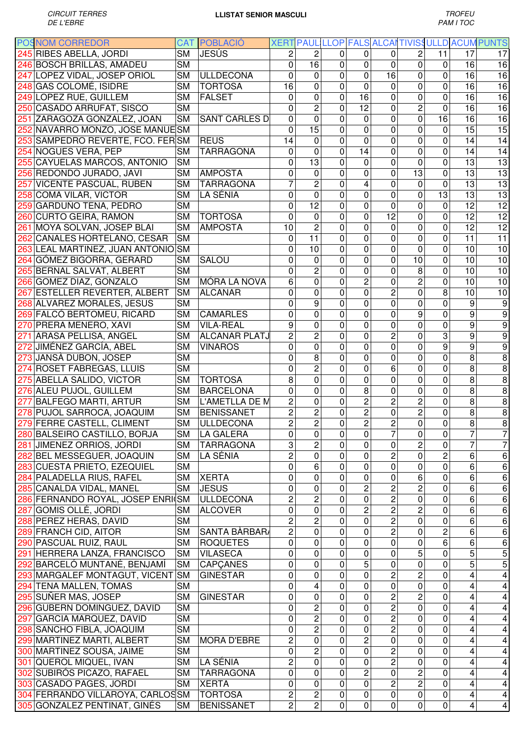|     | <b>POSNOM CORREDOR</b>             |                        | <b>CAT POBLACIO</b>  |                |                         |             |                |                                  |                         |                         |                         | XERT PAUL LLOP FALS ALCAITIVISS ULLD ACUM PUNTS |
|-----|------------------------------------|------------------------|----------------------|----------------|-------------------------|-------------|----------------|----------------------------------|-------------------------|-------------------------|-------------------------|-------------------------------------------------|
|     | 245 RIBES ABELLA, JORDI            | $\overline{\text{SM}}$ | <b>JESÚS</b>         | 2              | 2                       | 0           | 0              | 0                                | 2                       | 11                      | 17                      | 17                                              |
|     | 246 BOSCH BRILLAS, AMADEU          | <b>SM</b>              |                      | 0              | 16                      | 0           | 0              | 0                                | 0                       | 0                       | 16                      | 16                                              |
|     | 247 LOPEZ VIDAL, JOSEP ORIOL       | <b>SM</b>              | <b>ULLDECONA</b>     | 0              | 0                       | 0           | 0              | 16                               | 0                       | 0                       | 16                      | 16                                              |
|     | 248 GAS COLOMÉ, ISIDRE             | <b>SM</b>              | <b>TORTOSA</b>       | 16             | 0                       | 0           | 0              | 0                                | 0                       | 0                       | 16                      | 16                                              |
|     | 249 LOPEZ RUE, GUILLEM             | <b>SM</b>              | <b>FALSET</b>        | $\Omega$       | 0                       | 0           | 16             | 0                                | $\mathbf 0$             | 0                       | 16                      | 16                                              |
|     | 250 CASADO ARRUFAT, SISCO          | <b>SM</b>              |                      | $\overline{0}$ | $\overline{c}$          | 0           | 12             | 0                                | $\overline{c}$          | $\Omega$                | 16                      | 16                                              |
| 251 | ZARAGOZA GONZALEZ, JOAN            | <b>SM</b>              | <b>SANT CARLES D</b> | $\overline{0}$ | $\overline{0}$          | 0           | 0              | $\mathbf 0$                      | $\overline{0}$          | 16                      | 16                      | 16                                              |
|     | 252 NAVARRO MONZO, JOSE MANUESM    |                        |                      | $\mathbf 0$    | 15                      | 0           | 0              | $\mathbf 0$                      | 0                       | 0                       | 15                      | 15                                              |
| 253 | SAMPEDRO REVERTE, FCO. FER SM      |                        | <b>REUS</b>          | 14             | 0                       | 0           | 0              | $\mathbf 0$                      | 0                       | 0                       | 14                      | 14                                              |
|     | 254 NOGUES VERA, PEP               | <b>SM</b>              | <b>TARRAGONA</b>     | 0              | 0                       | 0           | 14             | $\mathbf 0$                      | $\mathbf 0$             | 0                       | 14                      | 14                                              |
| 255 | CAYUELAS MARCOS, ANTONIO           | <b>SM</b>              |                      | 0              | 13                      | 0           | 0              | 0                                | 0                       | 0                       | 13                      | 13                                              |
|     | 256 REDONDO JURADO, JAVI           | <b>SM</b>              | <b>AMPOSTA</b>       | 0              | 0                       | 0           | 0              | 0                                | 13                      | 0                       | 13                      | 13                                              |
| 257 | <b>VICENTE PASCUAL, RUBEN</b>      | <b>SM</b>              | <b>TARRAGONA</b>     |                | $\overline{c}$          | 0           | 4              | 0                                | $\mathbf 0$             | 0                       | $\overline{13}$         | 13                                              |
|     | 258 COMA VILAR, VICTOR             | <b>SM</b>              | LA SÉNIA             | 0              | 0                       | 0           | 0              | $\mathbf{0}$                     | 0                       | 13                      | 13                      | $\overline{13}$                                 |
|     | 259 GARDUÑO TENA, PEDRO            | <b>SM</b>              |                      | 0              | 12                      | 0           | 0              | $\mathbf 0$                      | 0                       | 0                       | 12                      | 12                                              |
|     | 260 CURTO GEIRA, RAMON             | <b>SM</b>              | <b>TORTOSA</b>       | $\mathbf 0$    | 0                       | 0           | 0              | 12                               | 0                       | 0                       | 12                      | 12                                              |
| 261 | MOYA SOLVAN, JOSEP BLAI            | <b>SM</b>              | <b>AMPOSTA</b>       | 10             | $\overline{c}$          | 0           | 0              | 0                                | 0                       | 0                       | 12                      | 12                                              |
|     | 262 CANALES HORTELANO, CESAR       | <b>SM</b>              |                      | 0              | 11                      | 0           | 0              | $\mathbf{0}$                     | 0                       | 0                       | 11                      | 11                                              |
|     | 263 LEAL MARTINEZ, JUAN ANTONIO SM |                        |                      | 0              | 10                      | 0           | 0              | 0                                | 0                       | 0                       | 10                      | 10                                              |
|     | 264 GÓMEZ BIGORRA, GERARD          | <b>SM</b>              | <b>SALOU</b>         | 0              | 0                       | 0           | 0              | 0                                | 10                      | 0                       | 10                      | 10                                              |
|     | 265 BERNAL SALVAT, ALBERT          | <b>SM</b>              |                      | 0              | $\overline{c}$          | 0           | 0              | 0                                | 8                       | 0                       | 10                      | 10                                              |
|     | 266 GOMEZ DIAZ, GONZALO            | <b>SM</b>              | <b>MÓRA LA NOVA</b>  | 6              | 0                       | 0           | $\overline{c}$ | 0                                | $\overline{2}$          | 0                       | 10                      | 10                                              |
|     | 267 ESTELLER REVERTER, ALBERT      | <b>SM</b>              | <b>ALCANAR</b>       | 0              | 0                       | 0           | 0              | $\overline{c}$                   | 0                       | 8                       | 10                      | 10                                              |
|     | 268 ALVAREZ MORALES, JESUS         | <b>SM</b>              |                      | 0              | 9                       | 0           | 0              | $\mathbf 0$                      | 0                       | 0                       | 9                       | 9                                               |
|     | 269 FALCÓ BERTOMEU, RICARD         | <b>SM</b>              | <b>CAMARLES</b>      | 0              | 0                       | 0           | 0              | $\mathbf 0$                      | 9                       | 0                       | 9                       | 9                                               |
| 270 | <b>PRERA MENERO, XAVI</b>          | <b>SM</b>              | <b>VILA-REAL</b>     | 9              | 0                       | 0           | 0              | $\mathbf 0$                      | 0                       | 0                       | 9                       | 9                                               |
| 271 | ARASA PELLISA, ANGEL               | <b>SM</b>              | <b>ALCANAR PLATJ</b> | 2              | 2                       | 0           | 0              | $\overline{c}$                   | 0                       | 3                       | 9                       | 9                                               |
| 272 | JIMÉNEZ GARCÍA, ABEL               | <b>SM</b>              | <b>VINAROS</b>       | 0              | 0                       | 0           | 0              | 0                                | 0                       | 9                       | 9                       | 9                                               |
|     | 273 JANSA DUBON, JOSEP             | <b>SM</b>              |                      | 0              | 8                       | 0           | 0              | 0                                | 0                       | 0                       | 8                       | 8                                               |
|     | 274 ROSET FABREGAS, LLUIS          | <b>SM</b>              |                      | 0              | 2                       | 0           | 0              | 6                                | 0                       | 0                       | 8                       | 8                                               |
|     | 275 ABELLA SALIDO, VICTOR          | <b>SM</b>              | <b>TORTOSA</b>       | 8              | 0                       | 0           | 0              | $\Omega$                         | 0                       | 0                       | 8                       | 8                                               |
|     | 276 ALEU PUJOL, GUILLEM            | <b>SM</b>              | <b>BARCELONA</b>     | 0              | 0                       | 0           | 8              | 0                                | 0                       | 0                       | 8                       | 8                                               |
|     | 277 BALFEGO MARTI, ARTUR           | <b>SM</b>              | L'AMETLLA DE M       | 2              | 0                       | 0           | $\overline{c}$ | $\overline{c}$                   | 2                       | 0                       | 8                       | 8                                               |
|     | 278 PUJOL SARROCA, JOAQUIM         | <b>SM</b>              | <b>BENISSANET</b>    | $\overline{c}$ | 2                       | 0           | $\overline{c}$ | $\mathbf 0$                      | 2                       | 0                       | 8                       | 8                                               |
|     | 279 FERRE CASTELL, CLIMENT         | <b>SM</b>              | ULLDECONA            | 2              | 2                       | $\pmb{0}$   | $\overline{c}$ | $\mathbf 2$                      | 0                       | 0                       | 8                       | 8                                               |
|     | 280 BALSEIRO CASTILLO, BORJA       | <b>SM</b>              | LA GALERA            | $\overline{0}$ | $\pmb{0}$               | $\pmb{0}$   | $\mathbf 0$    | $\overline{7}$                   | $\overline{0}$          | $\overline{\mathbf{o}}$ | 7                       | $\overline{7}$                                  |
|     |                                    |                        | <b>TARRAGONA</b>     | 3              | $\overline{c}$          | $\mathbf 0$ | $\mathbf 0$    | $\mathbf 0$                      | $\overline{c}$          |                         | $\overline{7}$          | $\overline{7}$                                  |
|     | 281 JIMENEZ ORRIOS, JORDI          | <b>SM</b>              | LA SÉNIA             | $\overline{c}$ | 0                       |             | 0              | $\overline{2}$                   | 0                       | 0<br>$\overline{c}$     | 6                       |                                                 |
|     | 282 BEL MESSEGUER, JOAQUIN         | <b>SM</b>              |                      |                | 6                       | 0           |                | $\mathbf 0$                      | 0                       | 0                       | 6                       | 6<br>6                                          |
|     | 283 CUESTA PRIETO, EZEQUIEL        | <b>SM</b>              |                      | 0              |                         | 0           | 0              |                                  |                         | 0                       | 6                       |                                                 |
|     | 284 PALADELLA RIUS, RAFEL          | <b>SM</b>              | <b>XERTA</b>         | 0              | 0                       | 0           | 0              | 0                                | 6                       |                         |                         | 6                                               |
|     | 285 CANALDA VIDAL, MANEL           | <b>SM</b>              | <b>JESUS</b>         | 0              | 0                       | 0           | $\overline{c}$ | $\overline{c}$<br>$\overline{2}$ | $\overline{c}$          | 0                       | 6<br>$\overline{6}$     | 6                                               |
|     | 286 FERNANDO ROYAL, JOSEP ENRI(SM  |                        | <b>ULLDECONA</b>     | $\overline{c}$ | $\overline{\mathbf{c}}$ | 0           | 0              |                                  | 0                       | 0                       | $\overline{6}$          | 6                                               |
|     | 287 GOMIS OLLÉ, JORDI              | <b>SM</b>              | <b>ALCOVER</b>       | 0              | 0                       | 0           | $\overline{c}$ | $\overline{2}$                   | $\overline{c}$          | 0                       | $\overline{6}$          | 6                                               |
|     | 288 PEREZ HERAS, DAVID             | <b>SM</b>              |                      | $\overline{c}$ | $\overline{c}$          | 0           | 0              | $\overline{c}$                   | $\mathbf 0$             | 0                       |                         | 6                                               |
|     | 289 FRANCH CID, AITOR              | <b>SM</b>              | SANTA BÀRBARA        | $\overline{c}$ | 0                       | 0           | 0              | $\overline{c}$                   | $\mathbf 0$<br>0        | $\overline{c}$<br>6     | $\,6\,$                 | 6                                               |
|     | 290 PASCUAL RUIZ, RAUL             | <b>SM</b>              | <b>ROQUETES</b>      | 0              | 0                       | 0           | 0              | 0                                | $\overline{5}$          |                         | 6<br>$\overline{5}$     | 6                                               |
|     | 291 HERRERA LANZA, FRANCISCO       | <b>SM</b>              | <b>VILASECA</b>      | 0              | 0                       | 0           | 0              | 0                                |                         | 0                       | 5                       | 5                                               |
|     | 292 BARCELÓ MUNTANÉ, BENJAMÍ       | <b>SM</b>              | <b>CAPCANES</b>      | 0              | 0                       | 0           | 5              | 0                                | 0                       | 0                       |                         | 5                                               |
|     | 293 MARGALEF MONTAGUT, VICENT      | <b>SM</b>              | <b>GINESTAR</b>      | 0              | 0                       | 0           | 0              | $\overline{c}$                   | $\overline{c}$          | 0                       | 4                       | 4                                               |
|     | 294 TENA MALLEN, TOMAS             | <b>SM</b>              |                      | 0              | 4                       | 0           | 0              | 0                                | 0                       | 0                       | 4                       | 4                                               |
|     | 295 SUÑER MAS, JOSEP               | <b>SM</b>              | <b>GINESTAR</b>      | $\mathbf 0$    | 0                       | 0           | 0              | $\overline{c}$                   | $\overline{c}$          | 0                       | 4                       | $\overline{\mathbf{4}}$                         |
|     | 296 GUBERN DOMINGUEZ, DAVID        | <b>SM</b>              |                      | 0              | 2                       | 0           | 0              | $\overline{c}$                   | 0                       | 0                       | 4                       | $\overline{\mathbf{4}}$                         |
|     | 297 GARCIA MARQUEZ, DAVID          | <b>SM</b>              |                      | 0              | 2                       | 0           | 0              | $\mathbf 2$                      | 0                       | 0                       | 4                       | $\overline{\mathbf{4}}$                         |
|     | 298 SANCHO FIBLA, JOAQUIM          | <b>SM</b>              |                      | 0              | $\overline{c}$          | 0           | 0              | $\overline{c}$                   | 0                       | 0                       | 4                       | $\overline{\mathbf{4}}$                         |
|     | 299 MARTINEZ MARTI, ALBERT         | <b>SM</b>              | <b>MORA D'EBRE</b>   | $\overline{2}$ | 0                       | $\pmb{0}$   | $\overline{2}$ | 0                                | 0                       | 0                       | 4                       | $\overline{\mathbf{4}}$                         |
|     | 300 MARTINEZ SOUSA, JAIME          | <b>SM</b>              |                      | 0              | $\overline{2}$          | 0           | 0              | $\overline{c}$                   | 0                       | 0                       | 4                       | $\overline{4}$                                  |
|     | 301 QUEROL MIQUEL, IVAN            | <b>SM</b>              | LA SÉNIA             | 2              | 0                       | 0           | 0              | $\overline{2}$                   | 0                       | 0                       | 4                       | $\overline{\mathbf{4}}$                         |
|     | 302 SUBIRÓS PICAZO, RAFAEL         | <b>SM</b>              | <b>TARRAGONA</b>     | 0              | 0                       | 0           | $\overline{c}$ | $\mathbf 0$                      | $\overline{\mathbf{c}}$ | 0                       | 4                       | 4                                               |
|     | 303 CASADO PAGES, JORDI            | <b>SM</b>              | <b>XERTA</b>         | 0              | 0                       | 0           | 0              | $\overline{2}$                   | $\overline{c}$          | 0                       | $\overline{\mathbf{4}}$ | $\overline{\mathbf{4}}$                         |
|     | 304 FERRANDO VILLAROYA, CARLOSSM   |                        | <b>TORTOSA</b>       | $\overline{c}$ | 2                       | $\pmb{0}$   | 0              | $\pmb{0}$                        | $\pmb{0}$               | $\pmb{0}$               | $\overline{\mathbf{4}}$ | 4                                               |
|     | 305 GONZALEZ PENTINAT, GINÉS       | <b>SM</b>              | <b>BENISSANET</b>    | 2              | 2                       | $\pmb{0}$   | 0              | $\mathbf 0$                      | 0                       | $\mathbf 0$             | $\overline{\mathbf{4}}$ | 4                                               |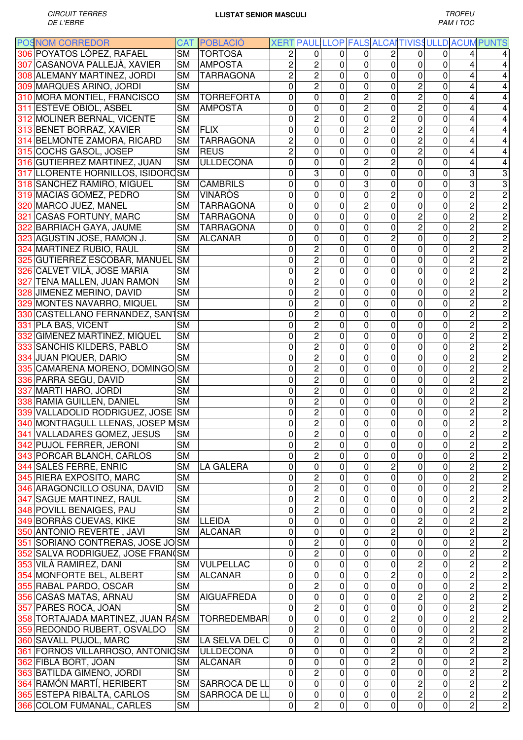| <b>POSNOM CORREDOR</b>                                  |           | <b>CAT POBLACIO</b> |                |                                           |                |                |                |                     |                              |                                  | XERT PAUL LLOP FALS ALCAI TIVISS ULLD ACUM PUNTS |
|---------------------------------------------------------|-----------|---------------------|----------------|-------------------------------------------|----------------|----------------|----------------|---------------------|------------------------------|----------------------------------|--------------------------------------------------|
| 306 POYATOS LÓPEZ, RAFAEL                               | <b>SM</b> | <b>TORTOSA</b>      | 2              | $\Omega$                                  | 0              | 0              | 2              | 0                   | 0                            | 4                                | $\overline{4}$                                   |
| 307 CASANOVA PALLEJÀ, XAVIER                            | <b>SM</b> | <b>AMPOSTA</b>      | $\overline{c}$ | $\overline{c}$                            | 0              | 0              | 0              | 0                   | 0                            | 4                                | $\overline{\mathbf{4}}$                          |
| 308 ALEMANY MARTINEZ, JORDI                             | <b>SM</b> | <b>TARRAGONA</b>    | $\overline{c}$ | $\overline{c}$                            | 0              | $\mathbf 0$    | $\mathbf 0$    | 0                   | 0                            | 4                                | $\overline{4}$                                   |
| 309 MARQUÈS ARIÑO, JORDI                                | <b>SM</b> |                     | 0              | $\overline{2}$                            | 0              | 0              | 0              | $\overline{c}$      | 0                            | 4                                | $\overline{\mathbf{4}}$                          |
| 310 MORA MONTIEL, FRANCISCO                             | <b>SM</b> | <b>TORREFORTA</b>   | $\mathbf 0$    | 0                                         | 0              | $\overline{c}$ | 0              | $\overline{c}$      | 0                            | 4                                | $\overline{4}$                                   |
| 311 ESTEVE OBIOL, ASBEL                                 | <b>SM</b> | <b>AMPOSTA</b>      | $\mathbf 0$    | 0                                         | 0              | $\overline{2}$ | $\mathbf 0$    | $\overline{c}$      | 0                            | 4                                | $\overline{4}$                                   |
| 312 MOLINER BERNAL, VICENTE                             | <b>SM</b> |                     | $\mathbf 0$    | $\overline{c}$                            | 0              | $\mathbf 0$    | $\overline{c}$ | 0                   | 0                            | 4                                | $\overline{4}$                                   |
| 313 BENET BORRAZ, XAVIER                                | <b>SM</b> | FLIX                | $\mathbf 0$    | $\mathbf 0$                               | 0              | $\overline{c}$ | $\mathbf 0$    | $\overline{c}$      | 0                            | 4                                | $\overline{\mathbf{4}}$                          |
| 314 BELMONTE ZAMORA, RICARD                             | <b>SM</b> | <b>TARRAGONA</b>    | $\overline{c}$ | 0                                         | 0              | $\mathbf 0$    | $\mathbf 0$    | $\overline{c}$      | 0                            | 4                                | $\overline{4}$                                   |
| 315 COCHS GASOL, JOSEP                                  | <b>SM</b> | <b>REUS</b>         | $\overline{c}$ | $\mathbf 0$                               | 0              | $\mathbf 0$    | $\mathbf 0$    | $\overline{2}$      | 0                            | $\overline{4}$                   | $\overline{4}$                                   |
| 316 GUTIERREZ MARTINEZ, JUAN                            | <b>SM</b> | <b>ULLDECONA</b>    | 0              | 0                                         | 0              | $\overline{c}$ | $\overline{c}$ | 0                   | 0                            | 4                                | $\overline{\mathbf{4}}$                          |
| 317 LLORENTE HORNILLOS, ISIDOROSM                       |           |                     | 0              | 3                                         | 0              | 0              | 0              | 0                   | 0                            | 3                                | 3                                                |
| 318 SANCHEZ RAMIRO, MIGUEL                              | <b>SM</b> | <b>CAMBRILS</b>     | 0              | 0                                         | 0              | $\overline{3}$ | 0              | 0                   | 0                            | 3                                | 3                                                |
| 319 MACIAS GOMEZ, PEDRO                                 | <b>SM</b> | <b>VINAROS</b>      | 0              | 0                                         | 0              | 0              | $\overline{c}$ | 0                   | 0                            | $\overline{2}$                   | $\overline{2}$                                   |
| 320 MARCO JUEZ, MANEL                                   | <b>SM</b> | <b>TARRAGONA</b>    | $\mathbf 0$    | 0                                         | 0              | $\overline{c}$ | $\mathbf 0$    | 0                   | 0                            | $\overline{c}$                   | $\overline{c}$                                   |
| 321 CASAS FORTUNY, MARC                                 | <b>SM</b> | <b>TARRAGONA</b>    | $\mathbf 0$    | 0                                         | 0              | 0              | $\mathbf 0$    | $\overline{c}$      | 0                            | $\overline{c}$                   | $\overline{c}$                                   |
| 322 BARRIACH GAYA, JAUME                                | <b>SM</b> | <b>TARRAGONA</b>    | 0              | 0                                         | 0              | $\mathbf 0$    | 0              | $\overline{2}$      | 0                            | $\overline{2}$                   | $\overline{c}$                                   |
| 323 AGUSTIN JOSE, RAMON J.                              | <b>SM</b> | <b>ALCANAR</b>      | $\mathbf 0$    | 0                                         | 0              | $\mathbf 0$    | $\overline{c}$ | 0                   | 0                            | $\overline{2}$                   | $\overline{c}$                                   |
| 324 MARTINEZ RUBIO, RAUL                                | <b>SM</b> |                     | 0              | $\overline{c}$                            | 0              | $\mathbf 0$    | $\mathbf 0$    | 0                   | 0                            | $\overline{2}$                   | $\overline{c}$                                   |
| 325 GUTIERREZ ESCOBAR, MANUEL SM                        |           |                     | 0              | 2                                         | 0              | 0              | 0              | 0                   | 0                            | $\overline{c}$                   | $\overline{c}$                                   |
| 326 CALVET VILÀ, JOSE MARIA                             | <b>SM</b> |                     | 0              | $\overline{c}$                            | 0              | 0              | $\mathbf 0$    | 0                   | 0                            | $\overline{2}$                   | $\overline{c}$                                   |
| 327 TENA MALLEN, JUAN RAMON                             | <b>SM</b> |                     | 0              | $\overline{c}$                            | 0              | 0              | $\mathbf 0$    | 0                   | 0                            | $\overline{2}$                   | $\overline{2}$                                   |
| 328 JIMENEZ MERINO, DAVID                               | <b>SM</b> |                     | 0              | $\overline{c}$                            | 0              | 0              | $\mathbf 0$    | 0                   | 0                            | $\overline{2}$                   | $\overline{2}$                                   |
| 329 MONTES NAVARRO, MIQUEL                              | <b>SM</b> |                     | 0              | $\overline{2}$                            | 0              | 0              | $\mathbf 0$    | 0                   | 0                            | $\overline{2}$                   | $\overline{2}$                                   |
| 330 CASTELLANO FERNANDEZ, SAN1SM                        |           |                     | 0              | $\overline{c}$                            | 0              | 0              | $\mathbf 0$    | 0                   | 0                            | $\overline{c}$                   | $\overline{2}$                                   |
| 331 PLA BAS, VICENT                                     | <b>SM</b> |                     | 0              | $\overline{c}$                            | 0              | 0              | $\mathbf 0$    | $\mathbf 0$         | 0                            | $\overline{2}$                   | $\overline{2}$                                   |
| 332 GIMENEZ MARTINEZ, MIQUEL                            | <b>SM</b> |                     | 0              | 2                                         | 0              | 0              | $\mathbf 0$    | 0                   | 0                            | $\overline{2}$                   | $\overline{2}$                                   |
| 333 SANCHIS KILDERS, PABLO                              | <b>SM</b> |                     | 0              | $\overline{c}$                            | 0              | $\mathbf 0$    | 0              | 0                   | 0                            | $\overline{c}$                   | $\overline{2}$                                   |
| 334 JUAN PIQUER, DARIO                                  | <b>SM</b> |                     | 0              | 2                                         | 0              | 0              | 0              | 0                   | 0                            | $\overline{c}$                   | $\overline{2}$                                   |
| 335 CAMARENA MORENO, DOMINGO SM                         |           |                     | 0              | 2                                         | 0              | 0              | 0              | 0                   | 0                            | $\overline{2}$                   | $\overline{c}$                                   |
| 336 PARRA SEGU, DAVID                                   | SΜ        |                     | 0              | $\overline{c}$                            | 0              | 0              | $\Omega$       | 0                   | 0                            | $\overline{2}$                   | $\overline{c}$                                   |
| 337 MARTI HARO, JORDI                                   | <b>SM</b> |                     | 0              | $\overline{c}$                            | 0              | 0              | $\mathbf 0$    | 0                   | 0                            | $\overline{c}$                   | $\overline{c}$                                   |
| 338 RAMIA GUILLEN, DANIEL                               | <b>SM</b> |                     | 0              | $\overline{c}$                            | 0              | 0              | 0              | 0                   | 0                            | $\overline{c}$                   | $\overline{c}$                                   |
| 339 VALLADOLID RODRIGUEZ, JOSE SM                       |           |                     | 0              | $\overline{c}$                            | 0              | 0              | 0              | 0                   | 0                            | $\overline{c}$                   | $\overline{c}$                                   |
| 340 MONTRAGULL LLENAS, JOSEP MSM                        | <b>SM</b> |                     | 0              | 2                                         | 0              | 0<br>$\pmb{0}$ | 0<br>$\pmb{0}$ | 0<br>$\overline{0}$ | 0<br>$\overline{\mathbf{o}}$ | $\overline{c}$                   | $\overline{c}$<br>$\overline{c}$                 |
| 341 VALLADARES GOMEZ, JESUS<br>342 PUJOL FERRER, JERONI | <b>SM</b> |                     | 0<br>0         | $\overline{\mathbf{c}}$<br>$\overline{c}$ | $\pmb{0}$<br>0 | 0              | 0              | $\mathbf 0$         | $\mathbf 0$                  | $\overline{c}$<br>$\overline{c}$ | $\overline{c}$                                   |
| 343 PORCAR BLANCH, CARLOS                               | <b>SM</b> |                     | 0              | $\overline{2}$                            | 0              | 0              | 0              | 0                   | 0                            | $\overline{c}$                   | $\overline{c}$                                   |
| 344 SALES FERRE, ENRIC                                  | <b>SM</b> | <b>LA GALERA</b>    | $\mathbf 0$    | 0                                         | 0              | 0              | $\overline{c}$ | 0                   | 0                            | $\overline{c}$                   | $\overline{c}$                                   |
| 345 RIERA EXPOSITO, MARC                                | <b>SM</b> |                     | $\mathbf 0$    | 2                                         | 0              | 0              | $\mathbf 0$    | 0                   | 0                            | $\overline{c}$                   | $\overline{c}$                                   |
| 346 ARAGONCILLO OSUNA, DAVID                            | <b>SM</b> |                     | 0              | $\overline{c}$                            | 0              | 0              | $\mathbf 0$    | 0                   | 0                            | $\overline{c}$                   | $\overline{c}$                                   |
| 347 SAGUE MARTINEZ, RAUL                                | <b>SM</b> |                     | 0              | $\overline{c}$                            | 0              | 0              | $\mathbf 0$    | 0                   | 0                            | $\overline{2}$                   | $\overline{c}$                                   |
| 348 POVILL BENAIGES, PAU                                | <b>SM</b> |                     | 0              | $\overline{c}$                            | 0              | 0              | 0              | 0                   | 0                            | $\overline{2}$                   | $\overline{2}$                                   |
| 349 BORRÀS CUEVAS, KIKE                                 | <b>SM</b> | LLEIDA              | 0              | 0                                         | 0              | 0              | 0              | $\overline{c}$      | 0                            | $\overline{c}$                   | $\overline{c}$                                   |
| 350 ANTONIO REVERTE, JAVI                               | <b>SM</b> | <b>ALCANAR</b>      | 0              | 0                                         | 0              | 0              | $\overline{c}$ | 0                   | 0                            | $\overline{c}$                   | $\overline{c}$                                   |
| 351 SORIANO CONTRERAS, JOSE JO SM                       |           |                     | 0              | 2                                         | 0              | 0              | 0              | 0                   | 0                            | $\overline{c}$                   | $\overline{c}$                                   |
| 352 SALVA RODRIGUEZ, JOSE FRANCSM                       |           |                     | 0              | $\overline{c}$                            | 0              | 0              | 0              | 0                   | 0                            | $\overline{2}$                   | $\overline{c}$                                   |
| 353 VILÀ RAMIREZ, DANI                                  | <b>SM</b> | <b>VULPELLAC</b>    | 0              | 0                                         | 0              | 0              | 0              | 2                   | 0                            | $\overline{2}$                   | $\overline{c}$                                   |
| 354 MONFORTE BEL, ALBERT                                | <b>SM</b> | <b>ALCANAR</b>      | 0              | 0                                         | 0              | 0              | 2              | 0                   | 0                            | $\overline{c}$                   | $\overline{c}$                                   |
| 355 RABAL PARDO, OSCAR                                  | <b>SM</b> |                     | $\mathbf 0$    | $\overline{c}$                            | 0              | 0              | 0              | 0                   | 0                            | $\overline{2}$                   | $\overline{c}$                                   |
| 356 CASAS MATAS, ARNAU                                  | <b>SM</b> | <b>AIGUAFREDA</b>   | 0              | 0                                         | 0              | 0              | 0              | $\overline{c}$      | 0                            | $\overline{c}$                   | $\overline{c}$                                   |
| 357 PARES ROCA, JOAN                                    | <b>SM</b> |                     | $\mathbf 0$    | $\overline{2}$                            | 0              | 0              | 0              | 0                   | 0                            | $\overline{c}$                   | $\overline{c}$                                   |
| 358 TORTAJADA MARTINEZ, JUAN RASM                       |           | <b>TORREDEMBARI</b> | 0              | 0                                         | 0              | 0              | $\overline{c}$ | 0                   | 0                            | $\overline{c}$                   | $\overline{c}$                                   |
| 359 REDONDO RUBERT, OSVALDO                             | <b>SM</b> |                     | 0              | $\overline{c}$                            | 0              | 0              | $\mathbf 0$    | 0                   | 0                            | $\overline{2}$                   | $\overline{c}$                                   |
| 360 SAVALL PUJOL, MARC                                  | <b>SM</b> | LA SELVA DEL C      | $\mathbf 0$    | 0                                         | 0              | 0              | $\mathbf 0$    | $\overline{2}$      | $\mathbf 0$                  | $\overline{2}$                   | $\overline{2}$                                   |
| 361 FORNOS VILLARROSO, ANTONICSM                        |           | <b>ULLDECONA</b>    | 0              | 0                                         | 0              | 0              | $\overline{2}$ | 0                   | 0                            | $\overline{2}$                   | $\overline{2}$                                   |
| 362 FIBLA BORT, JOAN                                    | SΜ        | <b>ALCANAR</b>      | 0              | 0                                         | 0              | 0              | $\overline{2}$ | 0                   | 0                            | $\overline{2}$                   | $\overline{2}$                                   |
| 363 BATILDA GIMENO, JORDI                               | <b>SM</b> |                     | $\mathbf 0$    | $\overline{c}$                            | 0              | 0              | $\mathbf 0$    | 0                   | 0                            | $\overline{2}$                   | $\overline{c}$                                   |
| 364 RAMÓN MARTÍ, HERIBERT                               | <b>SM</b> | SARROCA DE LL       | 0              | $\mathbf 0$                               | 0              | 0              | $\mathbf 0$    | $\overline{c}$      | 0                            | $\overline{2}$                   | $\overline{c}$                                   |
| 365 ESTEPA RIBALTA, CARLOS                              | <b>SM</b> | SARROCA DE LL       | $\mathbf 0$    | 0                                         | 0              | 0              | 0              | $\overline{2}$      | $\mathbf 0$                  | $\overline{2}$                   | $\overline{c}$                                   |
| 366 COLOM FUMANAL, CARLES                               | <b>SM</b> |                     | $\mathbf 0$    | $\overline{c}$                            | 0              | 0              | $\mathbf 0$    | 0                   | 0                            | $\overline{2}$                   | $\overline{2}$                                   |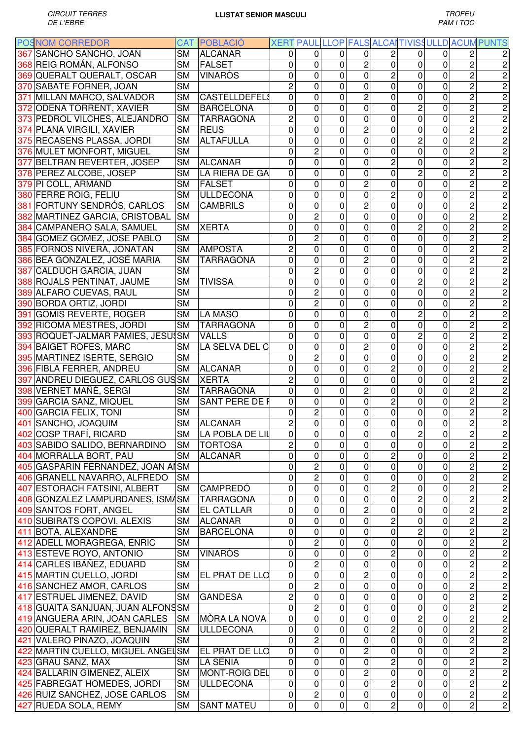| <b>POSNOM CORREDOR</b>            |           | <b>CAT POBLACIO</b>  |                |                |                |                |                |                         |           |                         | XERT PAUL LLOP FALS ALCAITIVISS ULLD ACUM PUNTS |
|-----------------------------------|-----------|----------------------|----------------|----------------|----------------|----------------|----------------|-------------------------|-----------|-------------------------|-------------------------------------------------|
| 367 SANCHO SANCHO, JOAN           | <b>SM</b> | <b>ALCANAR</b>       | 0              | $\Omega$       | $\Omega$       | 0              | 2              | 0                       | 0         | 2                       | $\overline{c}$                                  |
| 368 REIG ROMÁN, ALFONSO           | <b>SM</b> | FALSET               | 0              | 0              | 0              | $\overline{c}$ | $\mathbf 0$    | 0                       | 0         | $\overline{c}$          | $\sqrt{2}$                                      |
| 369 QUERALT QUERALT, OSCAR        | <b>SM</b> | <b>VINARÒS</b>       | $\mathbf 0$    | 0              | 0              | 0              | $\overline{c}$ | 0                       | 0         | $\overline{c}$          | 2                                               |
| 370 SABATE FORNER, JOAN           | <b>SM</b> |                      | $\overline{2}$ | 0              | 0              | 0              | 0              | 0                       | 0         | $\overline{c}$          | 2                                               |
| 371 MILLAN MARCO, SALVADOR        | <b>SM</b> | <b>CASTELLDEFELS</b> | 0              | 0              | 0              | 2              | $\Omega$       | 0                       | 0         | $\overline{2}$          | 2                                               |
| 372 ODENA TORRENT, XAVIER         | <b>SM</b> | <b>BARCELONA</b>     | 0              | 0              | 0              | 0              | $\mathbf{0}$   | 2                       | 0         | $\overline{c}$          | 2                                               |
| 373 PEDROL VILCHES, ALEJANDRO     | <b>SM</b> | <b>TARRAGONA</b>     | $\overline{c}$ | 0              | 0              | 0              | $\Omega$       | 0                       | 0         | $\overline{c}$          | $\overline{\mathbf{c}}$                         |
| 374 PLANA VIRGILI, XAVIER         |           | <b>REUS</b>          | $\mathbf 0$    | 0              | 0              | $\overline{c}$ |                |                         |           | $\overline{c}$          |                                                 |
|                                   | <b>SM</b> |                      |                |                |                |                | 0              | 0                       | 0         |                         | $\overline{\mathbf{c}}$                         |
| 375 RECASENS PLASSA, JORDI        | <b>SM</b> | <b>ALTAFULLA</b>     | $\mathbf 0$    | 0              | $\overline{0}$ | 0              | $\mathbf 0$    | $\overline{c}$          | 0         | $\overline{2}$          | $\overline{\mathbf{c}}$                         |
| 376 MULET MONFORT, MIGUEL         | <b>SM</b> |                      | $\mathbf{0}$   | $\overline{c}$ | 0              | 0              | 0              | 0                       | 0         | $\overline{2}$          | $\overline{2}$                                  |
| 377 BELTRAN REVERTER, JOSEP       | <b>SM</b> | <b>ALCANAR</b>       | $\mathbf 0$    | 0              | 0              | 0              | $\overline{c}$ | 0                       | 0         | $\overline{2}$          | $\overline{2}$                                  |
| 378 PEREZ ALCOBE, JOSEP           | <b>SM</b> | LA RIERA DE GA       | 0              | 0              | 0              | 0              | 0              | $\overline{c}$          | 0         | $\overline{c}$          | $\overline{\mathbf{c}}$                         |
| 379 PI COLL, ARMAND               | <b>SM</b> | FALSET               | 0              | 0              | 0              | $\overline{c}$ | 0              | 0                       | 0         | $\overline{2}$          | $\overline{2}$                                  |
| 380 FERRE ROIG, FELIU             | <b>SM</b> | <b>ULLDECONA</b>     | 0              | 0              | 0              | 0              | $\overline{c}$ | 0                       | 0         | $\overline{2}$          | 2                                               |
| 381 FORTUNY SENDRÓS, CARLOS       | <b>SM</b> | <b>CAMBRILS</b>      | $\mathbf 0$    | 0              | 0              | $\overline{2}$ | $\Omega$       | 0                       | 0         | $\overline{2}$          | 2                                               |
| 382 MARTINEZ GARCIA, CRISTOBAL    | <b>SM</b> |                      | 0              | $\overline{c}$ | 0              | 0              | $\mathbf 0$    | 0                       | 0         | $\overline{c}$          | $\overline{\mathbf{c}}$                         |
| 384 CAMPANERO SALA, SAMUEL        | <b>SM</b> | <b>XERTA</b>         | $\mathbf 0$    | 0              | 0              | 0              | $\mathbf 0$    | $\overline{c}$          | 0         | $\overline{2}$          | 2                                               |
| 384 GOMEZ GOMEZ, JOSE PABLO       | <b>SM</b> |                      | $\mathbf 0$    | $\overline{c}$ | 0              | 0              | $\mathbf 0$    | 0                       | 0         | $\overline{2}$          | 2                                               |
| 385 FORNOS NIVERA, JONATAN        | <b>SM</b> | <b>AMPOSTA</b>       | $\overline{2}$ | 0              | 0              | 0              | 0              | 0                       | 0         | $\overline{c}$          | 2                                               |
| 386 BEA GONZALEZ, JOSÉ MARIA      | <b>SM</b> | <b>TARRAGONA</b>     | 0              | 0              | 0              | $\overline{c}$ | 0              | 0                       | 0         | $\overline{c}$          | $\overline{c}$                                  |
| 387 CALDUCH GARCIA, JUAN          | <b>SM</b> |                      | 0              | $\overline{c}$ | 0              | 0              | $\mathbf 0$    | 0                       | 0         | $\overline{2}$          | 2                                               |
|                                   |           |                      |                |                |                |                |                |                         |           |                         |                                                 |
| 388 ROJALS PENTINAT, JAUME        | <b>SM</b> | <b>TIVISSA</b>       | 0              | 0              | 0              | 0              | $\mathbf 0$    | 2                       | 0         | $\overline{2}$          | 2                                               |
| 389 ALFARO CUEVAS, RAUL           | <b>SM</b> |                      | 0              | $\overline{c}$ | 0              | 0              | 0              | 0                       | 0         | $\overline{2}$          | $\overline{c}$                                  |
| 390 BORDA ORTIZ, JORDI            | <b>SM</b> |                      | 0              | $\overline{2}$ | 0              | 0              | $\mathbf 0$    | 0                       | 0         | $\overline{2}$          | $\overline{2}$                                  |
| 391 GOMIS REVERTÉ, ROGER          | <b>SM</b> | LA MASÓ              | 0              | 0              | 0              | 0              | $\mathbf 0$    | $\overline{c}$          | 0         | $\overline{2}$          | $\overline{\mathbf{c}}$                         |
| 392 RICOMA MESTRES, JORDI         | <b>SM</b> | <b>TARRAGONA</b>     | 0              | 0              | 0              | $\overline{c}$ | 0              | 0                       | 0         | $\overline{2}$          | $\overline{\mathbf{c}}$                         |
| 393 ROQUET-JALMAR PÀMIES, JESÚSM  |           | <b>VALLS</b>         | $\mathbf{0}$   | 0              | 0              | 0              | $\mathbf 0$    | $\overline{c}$          | 0         | $\overline{2}$          | $\overline{2}$                                  |
| 394 BAIGET ROFES, MARC            | <b>SM</b> | LA SELVA DEL C       | 0              | 0              | 0              | $\overline{c}$ | 0              | 0                       | 0         | $\overline{2}$          | $\overline{2}$                                  |
| 395 MARTINEZ ISERTE, SERGIO       | <b>SM</b> |                      | 0              | 2              | 0              | 0              | 0              | 0                       | 0         | $\overline{c}$          | $\overline{\mathbf{c}}$                         |
| 396 FIBLA FERRER, ANDREU          | <b>SM</b> | <b>ALCANAR</b>       | 0              | 0              | 0              | 0              | $\overline{c}$ | 0                       | 0         | $\overline{2}$          | $\overline{\mathbf{c}}$                         |
| 397 ANDREU DIEGUEZ, CARLOS GUSSM  |           | <b>XERTA</b>         | $\overline{2}$ | 0              | 0              | 0              | $\mathbf 0$    | 0                       | 0         | $\overline{c}$          | $\overline{\mathbf{c}}$                         |
| 398 VERNET MAÑÉ, SERGI            | <b>SM</b> | <b>TARRAGONA</b>     | 0              | 0              | 0              | 2              | 0              | 0                       | 0         | $\overline{2}$          | $\overline{\mathbf{c}}$                         |
| 399 GARCIA SANZ, MIQUEL           | <b>SM</b> | SANT PERE DE F       | 0              | 0              | 0              | 0              | $\overline{c}$ | 0                       | 0         | $\overline{c}$          | 2                                               |
| 400 GARCIA FÈLIX, TONI            | <b>SM</b> |                      |                | $\overline{c}$ |                | 0              | $\mathbf 0$    |                         | 0         | $\overline{c}$          | $\overline{c}$                                  |
|                                   |           |                      | 0              |                | 0              |                |                | 0                       |           |                         |                                                 |
| 401 SANCHO, JOAQUIM               | <b>SM</b> | <b>ALCANAR</b>       | $\overline{c}$ | 0              | 0              | 0              | 0              | 0                       | 0         | 2                       | $\sqrt{2}$                                      |
| 402 COSP TRAFÍ, RICARD            |           | SM LA POBLA DE LIL   | $\pmb{0}$      | $\pmb{0}$      | $\overline{0}$ | 0              | $\overline{0}$ | $\overline{\mathbf{c}}$ | $\pmb{0}$ | $\overline{\mathbf{c}}$ | $\overline{2}$                                  |
| 403 SABIDO SALIDO, BERNARDINO     | <b>SM</b> | <b>TORTOSA</b>       | $\overline{2}$ | $\mathbf 0$    | 0              | 0              | 0              | 0                       | 0         | $\overline{c}$          | 2                                               |
| 404 MORRALLA BORT, PAU            | <b>SM</b> | <b>ALCANAR</b>       | 0              | 0              | $\mathsf 0$    | 0              | $\overline{c}$ | $\mathbf 0$             | 0         | $\overline{c}$          | 2                                               |
| 405 GASPARIN FERNANDEZ, JOAN AISM |           |                      | $\mathbf 0$    | $\overline{c}$ | $\mathsf 0$    | 0              | $\pmb{0}$      | $\pmb{0}$               | 0         | $\overline{c}$          | $\mathbf 2$                                     |
| 406 GRANELL NAVARRO, ALFREDO      | <b>SM</b> |                      | $\mathbf 0$    | $\overline{2}$ | $\mathbf 0$    | 0              | $\mathbf 0$    | $\pmb{0}$               | 0         | $\overline{c}$          | $\overline{\mathbf{c}}$                         |
| 407 ESTORACH FATSINI, ALBERT      | <b>SM</b> | <b>CAMPREDÓ</b>      | $\mathbf 0$    | 0              | $\mathbf 0$    | 0              | $\overline{c}$ | $\mathbf 0$             | 0         | $\overline{2}$          | $\overline{2}$                                  |
| 408 GONZALEZ LAMPURDANES, ISMASM  |           | <b>TARRAGONA</b>     | $\mathbf 0$    | 0              | $\mathbf 0$    | 0              | $\mathbf 0$    | $\overline{c}$          | 0         | $\overline{2}$          | $\overline{2}$                                  |
| 409 SANTOS FORT, ANGEL            | <b>SM</b> | <b>EL CATLLAR</b>    | 0              | 0              | $\mathbf 0$    | $\overline{2}$ | $\mathbf 0$    | $\pmb{0}$               | 0         | $\overline{2}$          | $\frac{2}{2}$                                   |
| 410 SUBIRATS COPOVI, ALEXIS       | <b>SM</b> | ALCANAR              | 0              | 0              | $\mathbf 0$    | 0              | $\overline{c}$ | 0                       | 0         | $\overline{2}$          |                                                 |
| 411 BOTA, ALEXANDRE               | <b>SM</b> | <b>BARCELONA</b>     | 0              | 0              | $\mathbf 0$    | 0              | 0              | $\overline{c}$          | 0         | $\overline{2}$          | $\overline{2}$                                  |
| 412 ADELL MORAGREGA, ENRIC        | <b>SM</b> |                      | 0              | 2              | $\mathbf 0$    | 0              | $\mathbf 0$    | 0                       | 0         | $\overline{2}$          | $\overline{2}$                                  |
| 413 ESTEVE ROYO, ANTONIO          | <b>SM</b> | <b>VINARÒS</b>       | 0              | 0              | 0              | 0              | $\overline{2}$ | 0                       | 0         | $\overline{c}$          | $\mathbf 2$                                     |
| 414 CARLES IBÁÑEZ, EDUARD         | <b>SM</b> |                      | $\mathbf 0$    | $\overline{c}$ | $\mathbf 0$    | 0              | $\mathbf 0$    | 0                       | 0         | $\overline{2}$          | 2                                               |
|                                   |           |                      |                | 0              |                | $\overline{2}$ |                |                         | 0         | $\overline{2}$          |                                                 |
| 415 MARTIN CUELLO, JORDI          | <b>SM</b> | EL PRAT DE LLO       | 0              |                | 0              |                | $\mathbf 0$    | 0                       |           |                         | 2                                               |
| 416 SANCHEZ AMOR, CARLOS          | <b>SM</b> |                      | $\mathbf 0$    | $\overline{2}$ | 0              | $\overline{0}$ | $\mathbf 0$    | 0                       | 0         | $\overline{2}$          | $\mathbf 2$                                     |
| 417 ESTRUEL JIMENEZ, DAVID        | <b>SM</b> | <b>GANDESA</b>       | $\overline{c}$ | 0              | 0              | 0              | $\mathbf 0$    | 0                       | 0         | $\overline{c}$          | 2                                               |
| 418 GUAITA SANJUAN, JUAN ALFONSSM |           |                      | 0              | $\overline{2}$ | 0              | 0              | $\mathbf 0$    | 0                       | 0         | $\overline{2}$          | $\overline{2}$                                  |
| 419 ANGUERA ARIN, JOAN CARLES     | <b>SM</b> | MÒRA LA NOVA         | 0              | 0              | 0              | 0              | $\mathbf 0$    | 2                       | 0         | $\overline{2}$          | $\overline{2}$                                  |
| 420 QUERALT RAMIREZ, BENJAMIN     | <b>SM</b> | <b>ULLDECONA</b>     | 0              | 0              | 0              | 0              | $\overline{c}$ | 0                       | 0         | $\overline{2}$          | $\overline{2}$                                  |
| 421 VALERO PINAZO, JOAQUIN        | <b>SM</b> |                      | $\pmb{0}$      | $\overline{2}$ | $\mathsf 0$    | 0              | $\mathbf 0$    | 0                       | 0         | $\overline{2}$          | $\overline{2}$                                  |
| 422 MARTIN CUELLO, MIGUEL ANGELSM |           | EL PRAT DE LLO       | 0              | 0              | $\mathsf 0$    | $\overline{2}$ | $\mathbf 0$    | $\mathbf 0$             | 0         | $\overline{2}$          | $\overline{2}$                                  |
| 423 GRAU SANZ, MAX                | <b>SM</b> | LA SÉNIA             | 0              | 0              | $\mathbf 0$    | 0              | $\overline{c}$ | $\pmb{0}$               | 0         | $\overline{2}$          | $\overline{2}$                                  |
| 424 BALLARIN GIMENEZ, ALEIX       | <b>SM</b> | <b>MONT-ROIG DEL</b> | 0              | 0              | $\mathbf 0$    | $\overline{c}$ | $\mathbf 0$    | $\mathbf 0$             | 0         | $\overline{2}$          | $\overline{2}$                                  |
| 425 FABREGAT HOMEDES, JORDI       | <b>SM</b> | <b>ULLDECONA</b>     | 0              | 0              | $\mathbf 0$    | 0              | $\overline{2}$ | $\mathbf 0$             | 0         | $\overline{2}$          | $\overline{2}$                                  |
| 426 RUIZ SANCHEZ, JOSE CARLOS     | <b>SM</b> |                      | 0              | 2              | 0              | 0              | $\pmb{0}$      | 0                       | 0         | $\overline{2}$          | $\sqrt{2}$                                      |
|                                   | <b>SM</b> | <b>SANT MATEU</b>    | $\mathbf 0$    | 0              | $\mathbf 0$    | 0              | $\overline{2}$ | 0                       | 0         | $\overline{2}$          | $\overline{2}$                                  |
| 427 RUEDA SOLA, REMY              |           |                      |                |                |                |                |                |                         |           |                         |                                                 |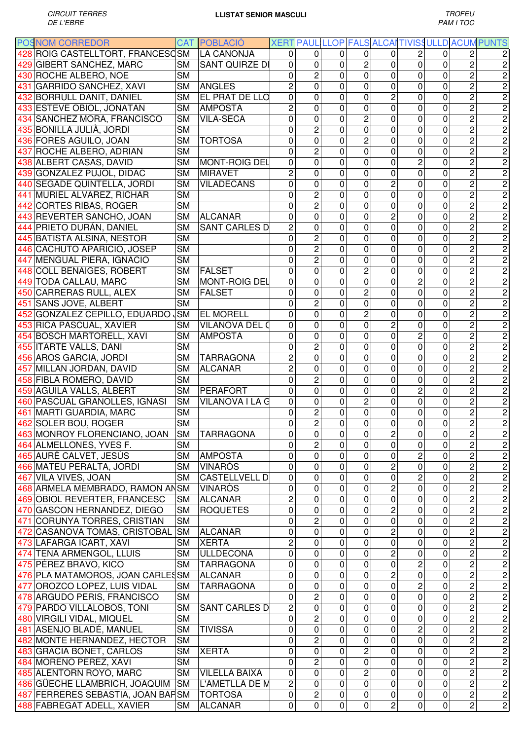| <b>POSNOM CORREDOR</b>                                |                        | <b>CAT POBLACIÓ</b>   |                |                |              |                |                  |                |                |                         | XERT PAUL LLOP FALS ALCAITIVISSULLD ACUM PUNTS |
|-------------------------------------------------------|------------------------|-----------------------|----------------|----------------|--------------|----------------|------------------|----------------|----------------|-------------------------|------------------------------------------------|
| 428 ROIG CASTELLTORT, FRANCESCSM                      |                        | <b>LA CANONJA</b>     | 0              | 0              | 0            | 0              | 0                | 2              | 0              | 2                       | 2                                              |
| 429 GIBERT SANCHEZ, MARC                              | <b>SM</b>              | <b>SANT QUIRZE DI</b> | 0              | 0              | 0            | $\overline{c}$ | 0                | 0              | 0              | $\overline{c}$          | $\overline{2}$                                 |
| 430 ROCHE ALBERO, NOE                                 | <b>SM</b>              |                       | 0              | $\overline{c}$ | 0            | $\mathbf 0$    | 0                | 0              | 0              | $\overline{2}$          | $\overline{2}$                                 |
| 431 GARRIDO SANCHEZ, XAVI                             | <b>SM</b>              | ANGLES                | $\overline{c}$ | 0              | 0            | $\mathbf 0$    | 0                | 0              | 0              | $\overline{c}$          | $\overline{c}$                                 |
| 432 BORRULL DANIT, DANIEL                             | <b>SM</b>              | EL PRAT DE LLO        | 0              | 0              | 0            | $\mathbf{0}$   | $\overline{c}$   | 0              | 0              | $\overline{2}$          | $\overline{2}$                                 |
| 433 ESTEVE OBIOL, JONATAN                             | <b>SM</b>              | <b>AMPOSTA</b>        | $\overline{c}$ | 0              | $\mathbf 0$  | $\mathbf 0$    | $\mathbf 0$      | 0              | 0              | $\overline{c}$          | $\overline{c}$                                 |
| 434 SANCHEZ MORA, FRANCISCO                           | <b>SM</b>              | <b>VILA-SECA</b>      | 0              | 0              | $\mathbf{0}$ | $\overline{c}$ | 0                | 0              | 0              | $\overline{2}$          | $\overline{2}$                                 |
| 435 BONILLA JULIÀ, JORDI                              | <b>SM</b>              |                       | 0              | $\overline{c}$ | 0            | $\overline{0}$ | 0                | 0              | 0              | $\overline{2}$          | $\overline{2}$                                 |
| 436 FORES AGUILO, JOAN                                | <b>SM</b>              | <b>TORTOSA</b>        | 0              | 0              | $\mathbf{0}$ | $\overline{c}$ | 0                | 0              | 0              | $\overline{2}$          | $\overline{2}$                                 |
| 437 ROCHE ALBERO, ADRIAN                              | <b>SM</b>              |                       | 0              | $\overline{c}$ | 0            | 0              | 0                | 0              | 0              | $\overline{c}$          | $\overline{c}$                                 |
| 438 ALBERT CASAS, DAVID                               | <b>SM</b>              | <b>MONT-ROIG DEL</b>  | 0              | 0              | 0            | $\Omega$       | 0                | $\overline{c}$ | 0              | $\overline{c}$          | $\overline{c}$                                 |
| 439 GONZALEZ PUJOL, DIDAC                             | <b>SM</b>              | <b>MIRAVET</b>        | 2              | 0              | 0            | $\Omega$       | 0                | 0              | 0              | $\overline{2}$          | $\overline{c}$                                 |
| 440 SEGADE QUINTELLA, JORDI                           | <b>SM</b>              | <b>VILADECANS</b>     | 0              | 0              | 0            | $\mathbf{0}$   | $\overline{c}$   | 0              | 0              | $\overline{2}$          | $\overline{c}$                                 |
| 441 MURIEL ALVAREZ, RICHAR                            | <b>SM</b>              |                       | 0              | $\overline{2}$ | 0            | $\mathbf{0}$   | 0                | 0              | 0              | $\overline{2}$          | $\overline{2}$                                 |
| 442 CORTES RIBAS, ROGER                               | <b>SM</b>              |                       | 0              | $\overline{c}$ | 0            | $\mathbf 0$    | 0                | 0              | 0              | $\overline{c}$          | $\overline{c}$                                 |
| 443 REVERTER SANCHO, JOAN                             | <b>SM</b>              | <b>ALCANAR</b>        | 0              | 0              | 0            | $\mathbf 0$    | $\overline{c}$   | 0              | 0              | $\overline{2}$          | $\overline{c}$                                 |
| 444 PRIETO DURÁN, DANIEL                              | <b>SM</b>              | <b>SANT CARLES D</b>  | $\overline{c}$ | 0              | 0            | $\mathbf 0$    | 0                | $\mathbf{0}$   | 0              | $\overline{2}$          | $\overline{c}$                                 |
| 445 BATISTA ALSINA, NESTOR                            | <b>SM</b>              |                       | 0              | $\overline{c}$ | $\mathbf 0$  | $\Omega$       | 0                | $\mathbf 0$    | 0              | 2                       | $\overline{c}$                                 |
| 446 CACHUTO APARICIO, JOSEP                           | <b>SM</b>              |                       | 0              | 2              | 0            | 0              | 0                | 0              | 0              | 2                       | $\overline{c}$                                 |
| 447 MENGUAL PIERA, IGNACIO                            | <b>SM</b>              |                       | 0              | $\overline{c}$ | 0            | 0              | 0                | 0              | 0              | $\overline{2}$          | $\overline{c}$                                 |
| 448 COLL BENAIGES, ROBERT                             | <b>SM</b>              | <b>FALSET</b>         | 0              | 0              | 0            | $\overline{c}$ | 0                | 0              | 0              | $\overline{2}$          | $\overline{2}$                                 |
| 449 TODA CALLAU, MARC                                 | <b>SM</b>              | <b>MONT-ROIG DEL</b>  | 0              | 0              | 0            | $\mathbf 0$    | 0                | $\overline{c}$ | 0              | $\overline{2}$          | $\overline{2}$                                 |
| 450 CARRERAS RULL, ALEX                               | <b>SM</b>              | <b>FALSET</b>         | 0              | 0              | 0            | $\overline{c}$ | 0                | 0              | 0              | $\overline{2}$          | $\overline{2}$                                 |
| 451 SANS JOVE, ALBERT                                 | <b>SM</b>              |                       | 0              | $\overline{c}$ | 0            | $\mathbf 0$    | 0                | 0              | 0              | $\overline{2}$          | $\overline{2}$                                 |
| 452 GONZALEZ CEPILLO, EDUARDO SM                      |                        | <b>EL MORELL</b>      | 0              | 0              | 0            | $\overline{c}$ | 0                | 0              | 0              | $\overline{2}$          | $\overline{c}$                                 |
| 453 RICA PASCUAL, XAVIER                              | <b>SM</b>              | <b>VILANOVA DEL O</b> | 0              | 0              | 0            | $\mathbf 0$    | $\overline{c}$   | $\mathbf 0$    | 0              | $\overline{2}$          | $\overline{2}$                                 |
| 454 BOSCH MARTORELL, XAVI                             | SΜ                     | <b>AMPOSTA</b>        | 0              | 0              | 0            | 0              | 0                | $\overline{c}$ | 0              | $\overline{c}$          | $\overline{2}$                                 |
| 455 ITARTE VALLS, DANI                                | <b>SM</b>              |                       | 0              | 2              | 0            | 0              | 0                | 0              | 0              | $\overline{c}$          | $\overline{c}$                                 |
| 456 AROS GARCIA, JORDI                                | <b>SM</b>              | <b>TARRAGONA</b>      | 2              | 0              | 0            | 0              | 0                | 0              | 0              | $\overline{c}$          | $\overline{c}$                                 |
| 457 MILLAN JORDAN, DAVID                              | <b>SM</b>              | <b>ALCANAR</b>        | 2              | 0              | 0            | $\mathbf{0}$   | 0                | 0              | 0              | 2                       | $\overline{c}$                                 |
| 458 FIBLA ROMERO, DAVID                               | <b>SM</b>              |                       | 0              | $\overline{c}$ | 0            | $\mathbf{0}$   | 0                | 0              | 0              | 2                       | $\overline{c}$                                 |
| 459 AGUILA VALLS, ALBERT                              | <b>SM</b>              | <b>PERAFORT</b>       | 0              | 0              | 0            | $\mathbf 0$    | 0                | 2              | 0              | $\overline{c}$          | $\overline{c}$                                 |
| 460 PASCUAL GRANOLLES, IGNASI                         | <b>SM</b>              | VILANOVA I LA G       | 0              | 0              | 0            | $\overline{c}$ | 0                | 0              | 0              | $\overline{2}$          | $\overline{c}$                                 |
| 461 MARTI GUARDIA, MARC                               | <b>SM</b>              |                       | 0              | $\overline{c}$ | 0            | 0              | 0                | 0              | 0              | $\overline{c}$          | $\overline{c}$                                 |
| 462 SOLER BOU, ROGER                                  | <b>SM</b>              |                       | 0              | 2              | 0            | 0              | 0                | 0              | 0              | $\mathbf 2$             | $\overline{c}$                                 |
| 463 MONROY FLORENCIANO, JOAN SM TARRAGONA             |                        |                       | 0              | $\pmb{0}$      | $\pmb{0}$    | $\pmb{0}$      | 2                | $\overline{0}$ | $\overline{0}$ | $\mathbf{2}$            | $\overline{2}$                                 |
| 464 ALMELLONES, YVES F.                               | <b>SM</b>              |                       | 0              | $\overline{c}$ | $\mathbf 0$  | 0              | 0                | $\mathbf 0$    | $\mathbf 0$    | $\overline{2}$          | $\overline{c}$                                 |
| 465 AURÉ CALVET, JESÚS                                | <b>SM</b>              | <b>AMPOSTA</b>        | 0              | 0              | $\pmb{0}$    | $\mathbf 0$    | $\mathbf 0$      | $\overline{2}$ | 0              | $\overline{2}$          | $\overline{c}$                                 |
| 466 MATEU PERALTA, JORDI                              | <b>SM</b>              | VINARÒS               | 0              | 0              | $\mathbf 0$  | 0              | $\overline{c}$   | $\pmb{0}$      | 0              | $\overline{c}$          | $\overline{c}$                                 |
| 467 VILA VIVES, JOAN                                  | <b>SM</b>              | <b>CASTELLVELL D</b>  | 0              | 0              | $\mathbf 0$  | $\mathbf 0$    | $\pmb{0}$        | 2              | 0              | $\overline{2}$          | $\overline{c}$                                 |
| 468 ARMELA MEMBRADO, RAMON ANSM                       |                        | <b>VINARÒS</b>        | 0              | 0              | $\mathbf 0$  | $\mathbf 0$    | $\overline{c}$   | $\mathbf 0$    | 0              | $\overline{2}$          | $\overline{c}$                                 |
| 469 OBIOL REVERTER, FRANCESC                          | <b>SM</b>              | ALCANAR               | 2              | 0              | 0            | $\mathbf 0$    | 0                | $\pmb{0}$      | 0              | $\overline{2}$          | $\overline{c}$                                 |
| 470 GASCON HERNANDEZ, DIEGO                           | <b>SM</b>              | <b>ROQUETES</b>       | 0              | 0              | $\mathbf 0$  | $\mathbf 0$    | $\overline{c}$   | $\pmb{0}$      | 0              | $\overline{c}$          | $\overline{c}$                                 |
| 471 CORUNYA TORRES, CRISTIAN                          | <b>SM</b>              |                       | 0              | $\overline{c}$ | 0            | $\mathbf 0$    | 0                | 0              | 0              | $\overline{c}$          | $\overline{c}$                                 |
| 472 CASANOVA TOMAS, CRISTOBAL                         | <b>SM</b>              | <b>ALCANAR</b>        | 0              | 0              | 0            | $\mathbf 0$    | $\overline{c}$   | 0              | 0              | $\overline{2}$          | $\overline{c}$                                 |
| 473 LAFARGA ICART, XAVI                               | <b>SM</b>              | <b>XERTA</b>          | $\overline{c}$ | 0              | 0            | $\mathbf 0$    | 0                | 0              | 0              | $\overline{2}$          | $\overline{c}$                                 |
| 474 TENA ARMENGOL, LLUIS                              | <b>SM</b>              | <b>ULLDECONA</b>      | 0              | 0              | 0            | $\mathbf 0$    | $\overline{c}$   | 0              | 0              | $\overline{c}$          | $\overline{c}$                                 |
| 475 PÉREZ BRAVO, KICO                                 | <b>SM</b>              | <b>TARRAGONA</b>      | 0              | 0              | 0            | $\mathbf 0$    | 0                | 2              | 0              | $\overline{c}$          | $\overline{c}$                                 |
| 476 PLA MATAMOROS, JOAN CARLESSM                      |                        | <b>ALCANAR</b>        | 0              | 0              | 0            | $\mathbf 0$    | $\overline{c}$   | 0              | 0              | $\overline{2}$          | $\overline{c}$                                 |
| 477 OROZCO LOPEZ, LUIS VIDAL                          | <b>SM</b>              | <b>TARRAGONA</b>      | 0              | 0              | 0            | $\mathbf 0$    | 0                | 2              | 0              | $\overline{c}$          | $\overline{c}$                                 |
| 478 ARGUDO PERIS, FRANCISCO                           | <b>SM</b>              |                       | 0              | $\overline{c}$ | 0            | $\mathbf 0$    | 0                | 0              | 0              | $\overline{c}$          | $\overline{c}$                                 |
| 479 PARDO VILLALOBOS, TONI                            | <b>SM</b>              | SANT CARLES D         | 2              | 0              | 0            | $\mathbf 0$    | 0                | $\mathbf 0$    | 0              | $\overline{c}$          | $\overline{c}$                                 |
|                                                       | <b>SM</b>              |                       |                | $\overline{c}$ | $\mathbf 0$  | $\mathbf 0$    |                  | $\mathbf 0$    |                | $\overline{c}$          | $\overline{c}$                                 |
| 480 VIRGILI VIDAL, MIQUEL<br>481 ASENJO BLADÉ, MANUEL | <b>SM</b>              | <b>TIVISSA</b>        | 0<br>0         | 0              | $\mathbf 0$  | $\mathbf 0$    | 0<br>$\mathbf 0$ | $\overline{c}$ | 0<br>0         | $\overline{2}$          | $\overline{c}$                                 |
| 482 MONTE HERNANDEZ, HECTOR                           | <b>SM</b>              |                       | 0              | $\overline{c}$ | $\pmb{0}$    | $\mathbf 0$    | 0                | $\overline{0}$ | 0              | $\overline{2}$          | $\overline{c}$                                 |
|                                                       |                        |                       | 0              | 0              | $\mathbf 0$  | $\overline{2}$ | $\pmb{0}$        | $\pmb{0}$      | 0              | $\overline{2}$          | $\overline{2}$                                 |
| 483 GRACIA BONET, CARLOS                              | <b>SM</b><br><b>SM</b> | <b>XERTA</b>          |                | $\overline{2}$ | 0            | $\overline{0}$ | $\pmb{0}$        | $\mathbf 0$    | 0              | $\overline{2}$          | $\overline{2}$                                 |
| 484 MORENO PEREZ, XAVI                                |                        |                       | 0              | 0              | 0            | $\overline{2}$ | $\pmb{0}$        | $\mathbf 0$    | 0              | $\overline{2}$          | $\overline{c}$                                 |
| 485 ALENTORN ROYO, MARC                               | <b>SM</b>              | <b>VILELLA BAIXA</b>  | 0              |                | $\mathbf 0$  | $\mathbf 0$    |                  | $\mathbf 0$    | 0              | $\overline{2}$          |                                                |
| 486 GÜECHE LLAMBRICH, JOAQUIM                         | <b>SM</b>              | L'AMETLLA DE M        | 2              | 0              |              |                | 0                |                |                |                         | $\overline{c}$                                 |
| 487 FERRERES SEBASTIA, JOAN BAPSM                     |                        | <b>TORTOSA</b>        | 0              | 2              | 0            | 0              | 0                | $\pmb{0}$      | 0              | $\overline{\mathbf{c}}$ | $\overline{c}$                                 |
| 488 FABREGAT ADELL, XAVIER                            | <b>SM</b>              | <b>ALCANAR</b>        | $\mathbf 0$    | 0              | 0            | $\mathbf 0$    | $\overline{c}$   | $\mathbf 0$    | 0              | $\overline{2}$          | $\overline{c}$                                 |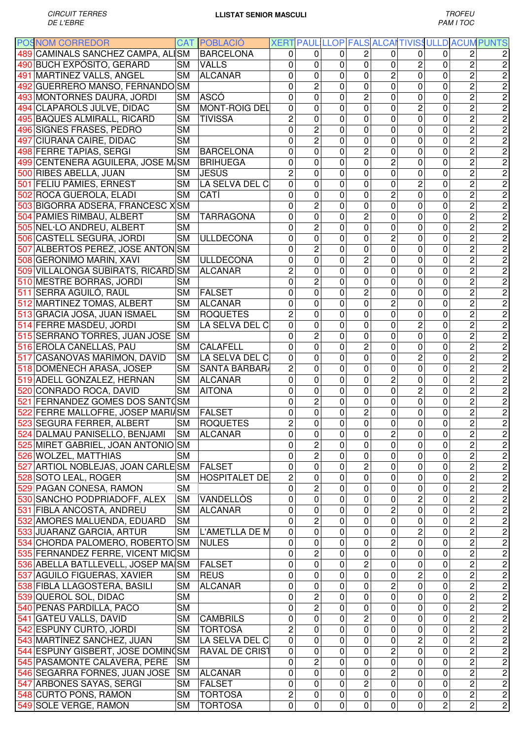| <b>POSNOM CORREDOR</b>             |           | <b>CAT POBLACIO</b>   |                |                         |              |                         |                |                |                |                         | XERT PAUL LLOP FALS ALCAITIVISS ULLD ACUM PUNTS |
|------------------------------------|-----------|-----------------------|----------------|-------------------------|--------------|-------------------------|----------------|----------------|----------------|-------------------------|-------------------------------------------------|
| 489 CAMINALS SANCHEZ CAMPA, ALI    | <b>SM</b> | <b>BARCELONA</b>      | $\Omega$       | 0                       | 0            | $\overline{c}$          | 0              | 0              | 0              | 2                       | 2                                               |
| 490 BUCH EXPÓSITO, GERARD          | <b>SM</b> | <b>VALLS</b>          | 0              | 0                       | 0            | 0                       | 0              | $\overline{c}$ | 0              | $\overline{c}$          | $\overline{c}$                                  |
| 491 MARTINEZ VALLS, ANGEL          | <b>SM</b> | <b>ALCANAR</b>        | 0              | 0                       | 0            | 0                       | $\overline{c}$ | 0              | 0              | $\overline{c}$          | $\overline{c}$                                  |
| 492 GUERRERO MANSO, FERNANDO SM    |           |                       | 0              | $\overline{c}$          | 0            | 0                       | 0              | 0              | 0              | $\overline{c}$          | 2                                               |
| 493 MONTORNES DAURA, JORDI         | <b>SM</b> | ASCÓ                  | $\mathbf 0$    | 0                       | 0            | $\overline{c}$          | 0              | 0              | 0              | $\overline{2}$          | $\overline{c}$                                  |
| 494 CLAPAROLS JULVE, DIDAC         | <b>SM</b> | <b>MONT-ROIG DEL</b>  | $\mathbf 0$    | 0                       | 0            | 0                       | 0              | $\overline{c}$ | $\Omega$       | $\overline{c}$          | 2                                               |
|                                    |           |                       | $\overline{c}$ | 0                       | 0            |                         | 0              | 0              | 0              | $\overline{c}$          |                                                 |
| 495 BAQUES ALMIRALL, RICARD        | <b>SM</b> | <b>TIVISSA</b>        |                |                         |              | 0                       |                |                |                |                         | $\overline{c}$                                  |
| 496 SIGNES FRASES, PEDRO           | <b>SM</b> |                       | 0              | $\overline{c}$          | 0            | 0                       | 0              | 0              | 0              | $\overline{c}$          | $\overline{c}$                                  |
| 497 CIURANA CAIRE, DIDAC           | <b>SM</b> |                       | $\mathbf{0}$   | $\overline{c}$          | 0            | 0                       | 0              | 0              | 0              | $\overline{2}$          | $\overline{c}$                                  |
| 498 FERRE TAPIAS, SERGI            | <b>SM</b> | <b>BARCELONA</b>      | 0              | 0                       | 0            | $\overline{c}$          | 0              | 0              | 0              | $\overline{2}$          | $\overline{c}$                                  |
| 499 CENTENERA AGUILERA, JOSE M/SM  |           | <b>BRIHUEGA</b>       | 0              | 0                       | 0            | 0                       | $\overline{c}$ | 0              | 0              | $\overline{c}$          | $\overline{\mathbf{c}}$                         |
| 500 RIBES ABELLA, JUAN             | <b>SM</b> | <b>JESÚS</b>          | $\overline{2}$ | 0                       | 0            | 0                       | 0              | 0              | 0              | $\overline{c}$          | 2                                               |
| 501 FELIU PAMIES, ERNEST           | <b>SM</b> | LA SELVA DEL C        | 0              | 0                       | 0            | 0                       | 0              | $\overline{c}$ | 0              | $\overline{2}$          | $\overline{\mathbf{c}}$                         |
| 502 ROCA GUEROLA, ELADI            | <b>SM</b> | CATÍ                  | 0              | 0                       | 0            | 0                       | $\overline{2}$ | 0              | 0              | $\overline{2}$          | 2                                               |
| 503 BIGORRA ADSERA, FRANCESC XSM   |           |                       | 0              | $\overline{c}$          | 0            | 0                       | 0              | 0              | 0              | $\overline{c}$          | 2                                               |
| 504 PAMIES RIMBAU, ALBERT          | <b>SM</b> | <b>TARRAGONA</b>      | 0              | 0                       | 0            | $\overline{c}$          | 0              | 0              | 0              | $\overline{2}$          | $\overline{c}$                                  |
|                                    | <b>SM</b> |                       | 0              | $\overline{c}$          |              | 0                       | 0              | 0              | 0              | $\overline{c}$          |                                                 |
| 505 NEL-LO ANDREU, ALBERT          |           |                       |                |                         | 0            |                         |                |                |                |                         | $\overline{c}$                                  |
| 506 CASTELL SEGURA, JORDI          | <b>SM</b> | <b>ULLDECONA</b>      | 0              | 0                       | 0            | 0                       | $\overline{c}$ | 0              | 0              | $\overline{2}$          | $\overline{c}$                                  |
| 507 ALBERTOS PEREZ, JOSE ANTON SM  |           |                       | 0              | $\overline{c}$          | 0            | 0                       | 0              | 0              | 0              | $\overline{c}$          | 2                                               |
| 508 GERONIMO MARIN, XAVI           | <b>SM</b> | <b>ULLDECONA</b>      | 0              | 0                       | 0            | $\overline{c}$          | 0              | 0              | 0              | $\overline{c}$          | 2                                               |
| 509 VILLALONGA SUBIRATS, RICARD SM |           | <b>ALCANAR</b>        | $\overline{c}$ | 0                       | 0            | 0                       | 0              | 0              | 0              | $\overline{c}$          | $\overline{c}$                                  |
| 510 MESTRE BORRAS, JORDI           | <b>SM</b> |                       | $\mathbf 0$    | $\overline{c}$          | 0            | 0                       | 0              | 0              | 0              | $\overline{2}$          | $\overline{c}$                                  |
| 511 SERRA AGUILÓ, RAÜL             | <b>SM</b> | FALSET                | 0              | 0                       | 0            | $\overline{c}$          | 0              | 0              | 0              | $\overline{2}$          | 2                                               |
| 512 MARTINEZ TOMAS, ALBERT         | <b>SM</b> | <b>ALCANAR</b>        | 0              | 0                       | 0            | 0                       | 2              | 0              | 0              | $\overline{2}$          | 2                                               |
| 513 GRACIA JOSA, JUAN ISMAEL       | <b>SM</b> | <b>ROQUETES</b>       | 2              | 0                       | 0            | 0                       | 0              | 0              | 0              | $\overline{c}$          | $\overline{\mathbf{c}}$                         |
| 514 FERRE MASDEU, JORDI            | <b>SM</b> | LA SELVA DEL C        | 0              | 0                       | 0            | 0                       | 0              | $\overline{c}$ | 0              | $\overline{2}$          | $\overline{c}$                                  |
|                                    | <b>SM</b> |                       |                | $\overline{c}$          |              | 0                       |                | 0              | 0              | $\overline{2}$          | $\overline{c}$                                  |
| 515 SERRANO TORRES, JUAN JOSE      |           |                       | 0              |                         | 0            |                         | 0              |                |                |                         |                                                 |
| 516 EROLA CAÑELLAS, PAU            | <b>SM</b> | <b>CALAFELL</b>       | 0              | 0                       | 0            | $\overline{c}$          | 0              | 0              | 0              | $\overline{c}$          | $\overline{\mathbf{c}}$                         |
| 517 CASANOVAS MARIMON, DAVID       | <b>SM</b> | LA SELVA DEL C        | 0              | 0                       | 0            | 0                       | 0              | $\overline{c}$ | 0              | $\overline{c}$          | $\overline{c}$                                  |
| 518 DOMÈNECH ARASA, JOSEP          | <b>SM</b> | SANTA BÀRBARA         | 2              | 0                       | 0            | 0                       | 0              | 0              | 0              | $\overline{2}$          | 2                                               |
| 519 ADELL GONZALEZ, HERNAN         | <b>SM</b> | <b>ALCANAR</b>        | 0              | 0                       | 0            | 0                       | $\overline{c}$ | 0              | 0              | $\overline{c}$          | $\overline{\mathbf{c}}$                         |
| 520 CONRADO ROCA, DAVID            | <b>SM</b> | <b>AITONA</b>         | 0              | 0                       | 0            | 0                       | 0              | $\overline{c}$ | 0              | $\overline{c}$          | $\overline{c}$                                  |
| 521 FERNANDEZ GOMES DOS SANTOSM    |           |                       | 0              | 2                       | 0            | 0                       | 0              | 0              | 0              | $\overline{c}$          | $\overline{c}$                                  |
| 522 FERRE MALLOFRE, JOSEP MARI/SM  |           | <b>FALSET</b>         | 0              | 0                       | 0            | $\overline{c}$          | 0              | 0              | 0              | $\overline{c}$          | $\overline{c}$                                  |
| 523 SEGURA FERRER, ALBERT          | <b>SM</b> | <b>ROQUETES</b>       | 2              | 0                       | 0            | 0                       | 0              | 0              | 0              | 2                       | $\mathbf 2$                                     |
| 524 DALMAU PANISELLO, BENJAMI      | SM        | <b>ALCANAR</b>        | 0              | $\pmb{0}$               | $\mathbf{0}$ | $\mathbf 0$             | $\overline{2}$ | 0              | $\pmb{0}$      | 2                       | $\overline{c}$                                  |
|                                    |           |                       | 0              | $\overline{c}$          | $\mathbf 0$  | $\mathbf 0$             | $\mathbf 0$    | $\mathbf 0$    | 0              | $\overline{c}$          | 2                                               |
| 525 MIRET GABRIEL, JOAN ANTONIO SM |           |                       |                |                         |              |                         |                |                |                |                         |                                                 |
| 526 WOLZEL, MATTHIAS               | <b>SM</b> |                       | 0              | $\overline{c}$          | 0            | 0                       | $\mathbf 0$    | $\mathbf 0$    | $\mathbf 0$    | $\overline{2}$          | $\overline{c}$                                  |
| 527 ARTIOL NOBLEJAS, JOAN CARLE SM |           | <b>FALSET</b>         | $\mathbf 0$    | 0                       | 0            | $\overline{c}$          | $\pmb{0}$      | $\mathbf 0$    | 0              | $\overline{2}$          | $\overline{c}$                                  |
| 528 SOTO LEAL, ROGER               | <b>SM</b> | <b>HOSPITALET DE</b>  | $\overline{c}$ | 0                       | 0            | 0                       | $\mathbf 0$    | $\mathbf 0$    | 0              | $\overline{c}$          | $\overline{\mathbf{c}}$                         |
| 529 PAGAN CONESA, RAMON            | <b>SM</b> |                       | $\mathbf 0$    | $\overline{\mathbf{c}}$ | 0            | 0                       | 0              | $\mathbf 0$    | 0              | $\overline{c}$          | $\overline{\mathbf{c}}$                         |
| 530 SANCHO PODPRIADOFF, ALEX       | <b>SM</b> | VANDELLOS             | 0              | $\mathbf 0$             | 0            | 0                       | $\pmb{0}$      | $\overline{c}$ | 0              | $\overline{2}$          | $\overline{2}$                                  |
| 531 FIBLA ANCOSTA, ANDREU          | <b>SM</b> | <b>ALCANAR</b>        | 0              | 0                       | 0            | 0                       | $\overline{c}$ | $\mathbf 0$    | 0              | $\overline{2}$          | $\overline{c}$                                  |
| 532 AMORES MALUENDA, EDUARD        | <b>SM</b> |                       | 0              | 2                       | 0            | 0                       | 0              | $\mathbf 0$    | 0              | $\overline{c}$          | $\overline{c}$                                  |
| 533 JUARANZ GARCIA, ARTUR          | <b>SM</b> | L'AMETLLA DE M        | 0              | 0                       | 0            | 0                       | $\pmb{0}$      | $\overline{c}$ | 0              | $\overline{2}$          | $\overline{2}$                                  |
| 534 CHORDA PALOMERO, ROBERTO SM    |           | <b>NULES</b>          | $\mathbf 0$    | 0                       | 0            | 0                       | $\overline{2}$ | $\mathbf 0$    | 0              | $\overline{2}$          | $\overline{2}$                                  |
| 535 FERNANDEZ FERRE, VICENT MICSM  |           |                       | 0              | $\overline{c}$          | 0            | 0                       | $\mathbf 0$    | $\mathbf 0$    | 0              | $\overline{2}$          | $\overline{2}$                                  |
|                                    |           | FALSET                | $\mathbf 0$    | 0                       |              | $\overline{c}$          |                |                | 0              | $\overline{2}$          |                                                 |
| 536 ABELLA BATLLEVELL, JOSEP MAISM |           |                       |                |                         | 0            |                         | 0              | $\mathbf 0$    |                |                         | $\overline{c}$                                  |
| 537 AGUILO FIGUERAS, XAVIER        | <b>SM</b> | <b>REUS</b>           | $\mathbf 0$    | 0                       | 0            | 0                       | 0              | $\overline{c}$ | 0              | $\overline{2}$          | $\mathbf 2$                                     |
| 538 FIBLA LLAGOSTERA, BASILI       | <b>SM</b> | <b>ALCANAR</b>        | $\mathbf 0$    | 0                       | 0            | 0                       | $\overline{c}$ | $\mathbf 0$    | 0              | $\overline{2}$          | $\overline{2}$                                  |
| 539 QUEROL SOL, DIDAC              | <b>SM</b> |                       | 0              | $\overline{c}$          | 0            | 0                       | 0              | 0              | 0              | $\overline{c}$          | $\mathbf 2$                                     |
| 540 PEÑAS PARDILLA, PACO           | <b>SM</b> |                       | $\mathbf 0$    | $\overline{2}$          | 0            | 0                       | 0              | 0              | 0              | $\overline{2}$          | $\overline{2}$                                  |
| 541 GATEU VALLS, DAVID             | <b>SM</b> | <b>CAMBRILS</b>       | 0              | 0                       | 0            | $\overline{\mathbf{c}}$ | $\pmb{0}$      | 0              | 0              | $\overline{c}$          | $\overline{2}$                                  |
| 542 ESPUNY CURTO, JORDI            | <b>SM</b> | <b>TORTOSA</b>        | $\overline{c}$ | 0                       | 0            | 0                       | $\mathbf 0$    | $\mathbf 0$    | 0              | $\overline{2}$          | $\overline{2}$                                  |
| 543 MARTÍNEZ SANCHEZ, JUAN         | <b>SM</b> | LA SELVA DEL C        | $\pmb{0}$      | 0                       | $\pmb{0}$    | $\mathbf 0$             | $\mathbf 0$    | $\overline{2}$ | $\mathbf 0$    | $\overline{2}$          | $\overline{2}$                                  |
| 544 ESPUNY GISBERT, JOSE DOMINGSM  |           | <b>RAVAL DE CRIST</b> | $\mathbf 0$    | 0                       | 0            | 0                       | $\overline{c}$ | $\mathbf 0$    | 0              | $\overline{2}$          | $\overline{2}$                                  |
|                                    | <b>SM</b> |                       |                | $\overline{c}$          |              | 0                       | $\pmb{0}$      |                | 0              | $\overline{2}$          | $\overline{2}$                                  |
| 545 PASAMONTE CALAVERA, PERE       |           |                       | 0              |                         | 0            |                         |                | $\mathbf 0$    |                |                         |                                                 |
| 546 SEGARRA FORNES, JUAN JOSE      | <b>SM</b> | <b>ALCANAR</b>        | $\mathbf 0$    | 0                       | 0            | 0                       | $\overline{c}$ | $\mathbf 0$    | 0              | $\overline{\mathbf{c}}$ | $\overline{2}$                                  |
| 547 ARBONES SAYAS, SERGI           | <b>SM</b> | <b>FALSET</b>         | $\mathbf 0$    | 0                       | $\mathbf 0$  | $\overline{2}$          | $\mathbf 0$    | $\mathbf 0$    | 0              | $\overline{2}$          | $\overline{2}$                                  |
| 548 CURTO PONS, RAMON              | <b>SM</b> | <b>TORTOSA</b>        | 2              | 0                       | 0            | 0                       | $\pmb{0}$      | $\mathbf 0$    | 0              | $\overline{2}$          | $\overline{c}$                                  |
| 549 SOLE VERGE, RAMON              | <b>SM</b> | <b>TORTOSA</b>        | $\mathbf 0$    | $\mathbf 0$             | $\mathbf 0$  | 0                       | $\mathbf 0$    | $\mathbf 0$    | $\overline{2}$ | $\overline{2}$          | $\overline{2}$                                  |